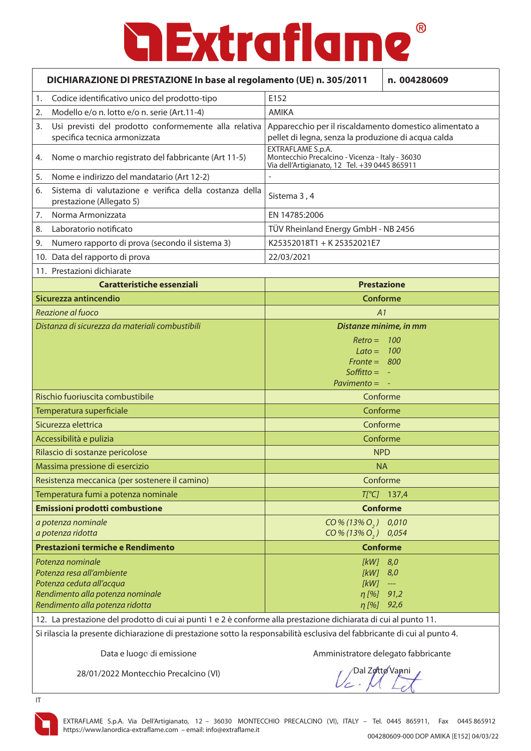| DICHIARAZIONE DI PRESTAZIONE In base al regolamento (UE) n. 305/2011                                             |                                                                                        | n. 004280609                                                                                                          |  |
|------------------------------------------------------------------------------------------------------------------|----------------------------------------------------------------------------------------|-----------------------------------------------------------------------------------------------------------------------|--|
| 1.                                                                                                               | Codice identificativo unico del prodotto-tipo                                          | E152                                                                                                                  |  |
| 2.                                                                                                               | Modello e/o n. lotto e/o n. serie (Art.11-4)                                           | AMIKA                                                                                                                 |  |
| 3.                                                                                                               | Usi previsti del prodotto conformemente alla relativa<br>specifica tecnica armonizzata | Apparecchio per il riscaldamento domestico alimentato a<br>pellet di legna, senza la produzione di acqua calda        |  |
| 4.                                                                                                               | Nome o marchio registrato del fabbricante (Art 11-5)                                   | EXTRAFLAME S.p.A.<br>Montecchio Precalcino - Vicenza - Italy - 36030<br>Via dell'Artigianato, 12 Tel. +39 0445 865911 |  |
| 5.                                                                                                               | Nome e indirizzo del mandatario (Art 12-2)                                             |                                                                                                                       |  |
| 6.                                                                                                               | Sistema di valutazione e verifica della costanza della<br>prestazione (Allegato 5)     | Sistema 3, 4                                                                                                          |  |
| 7.                                                                                                               | Norma Armonizzata                                                                      | EN 14785:2006                                                                                                         |  |
| 8.                                                                                                               | Laboratorio notificato                                                                 | TÜV Rheinland Energy GmbH - NB 2456                                                                                   |  |
| 9.                                                                                                               | Numero rapporto di prova (secondo il sistema 3)                                        | K25352018T1 + K25352021E7                                                                                             |  |
|                                                                                                                  | 10. Data del rapporto di prova                                                         | 22/03/2021                                                                                                            |  |
|                                                                                                                  | 11. Prestazioni dichiarate                                                             |                                                                                                                       |  |
|                                                                                                                  | <b>Caratteristiche essenziali</b>                                                      | <b>Prestazione</b>                                                                                                    |  |
|                                                                                                                  | Sicurezza antincendio                                                                  | <b>Conforme</b>                                                                                                       |  |
|                                                                                                                  | Reazione al fuoco                                                                      | A1                                                                                                                    |  |
| Distanza di sicurezza da materiali combustibili                                                                  |                                                                                        | Distanze minime, in mm                                                                                                |  |
|                                                                                                                  |                                                                                        | $Retro = 100$                                                                                                         |  |
|                                                                                                                  |                                                                                        | $Lato = 100$<br>$Front = 800$                                                                                         |  |
|                                                                                                                  |                                                                                        | Soffitto $= -$                                                                                                        |  |
|                                                                                                                  |                                                                                        | $Pavimento = -$                                                                                                       |  |
|                                                                                                                  | Rischio fuoriuscita combustibile                                                       | Conforme                                                                                                              |  |
|                                                                                                                  | Temperatura superficiale                                                               | Conforme                                                                                                              |  |
|                                                                                                                  | Sicurezza elettrica                                                                    | Conforme                                                                                                              |  |
|                                                                                                                  | Accessibilità e pulizia                                                                | Conforme                                                                                                              |  |
|                                                                                                                  | Rilascio di sostanze pericolose                                                        | <b>NPD</b>                                                                                                            |  |
|                                                                                                                  | Massima pressione di esercizio                                                         | <b>NA</b>                                                                                                             |  |
|                                                                                                                  | Resistenza meccanica (per sostenere il camino)                                         | Conforme                                                                                                              |  |
|                                                                                                                  | Temperatura fumi a potenza nominale                                                    | $T[^{\circ}C]$ 137,4                                                                                                  |  |
|                                                                                                                  | Emissioni prodotti combustione                                                         | <b>Conforme</b>                                                                                                       |  |
|                                                                                                                  | a potenza nominale                                                                     | $CO\% (13\% O, )$<br>0,010                                                                                            |  |
|                                                                                                                  | a potenza ridotta                                                                      | $CO\% (13\% O, 0, 0.054)$                                                                                             |  |
|                                                                                                                  | Prestazioni termiche e Rendimento                                                      | <b>Conforme</b>                                                                                                       |  |
|                                                                                                                  | Potenza nominale                                                                       | $[kW]$ 8,0                                                                                                            |  |
|                                                                                                                  | Potenza resa all'ambiente<br>Potenza ceduta all'acqua                                  | $[KW]$ 8,0<br>[kW]<br>$\rightarrow$ $\rightarrow$                                                                     |  |
|                                                                                                                  | Rendimento alla potenza nominale                                                       | $\eta$ [%]<br>91,2                                                                                                    |  |
|                                                                                                                  | Rendimento alla potenza ridotta                                                        | $\eta$ [%] 92,6                                                                                                       |  |
| 12. La prestazione del prodotto di cui ai punti 1 e 2 è conforme alla prestazione dichiarata di cui al punto 11. |                                                                                        |                                                                                                                       |  |

Si rilascia la presente dichiarazione di prestazione sotto la responsabilità esclusiva del fabbricante di cui al punto 4.

Data e luogo di emissione

Amministratore delegato fabbricante

28/01/2022 Montecchio Precalcino (VI)

Dal Zotto Vanni

IT

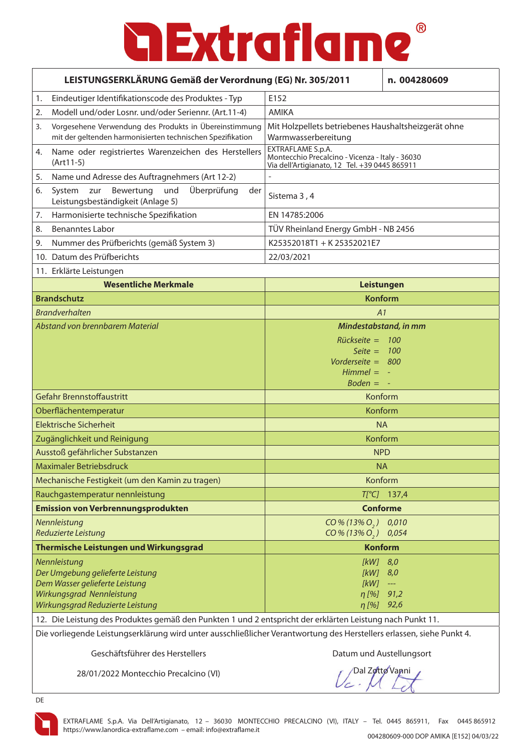| LEISTUNGSERKLÄRUNG Gemäß der Verordnung (EG) Nr. 305/2011 |                                                                                                                                                     |                                                                                                  | n. 004280609                                                                                     |  |
|-----------------------------------------------------------|-----------------------------------------------------------------------------------------------------------------------------------------------------|--------------------------------------------------------------------------------------------------|--------------------------------------------------------------------------------------------------|--|
| 1.                                                        | Eindeutiger Identifikationscode des Produktes - Typ                                                                                                 | E152                                                                                             |                                                                                                  |  |
| 2.                                                        | Modell und/oder Losnr. und/oder Seriennr. (Art.11-4)                                                                                                | <b>AMIKA</b>                                                                                     |                                                                                                  |  |
| 3.                                                        | Vorgesehene Verwendung des Produkts in Übereinstimmung<br>mit der geltenden harmonisierten technischen Spezifikation                                | Mit Holzpellets betriebenes Haushaltsheizgerät ohne<br>Warmwasserbereitung                       |                                                                                                  |  |
| 4.                                                        | Name oder registriertes Warenzeichen des Herstellers<br>$(Art11-5)$                                                                                 | EXTRAFLAME S.p.A.                                                                                | Montecchio Precalcino - Vicenza - Italy - 36030<br>Via dell'Artigianato, 12 Tel. +39 0445 865911 |  |
| 5.                                                        | Name und Adresse des Auftragnehmers (Art 12-2)                                                                                                      |                                                                                                  |                                                                                                  |  |
| 6.                                                        | Überprüfung<br>Bewertung<br>System<br>zur<br>und<br>der<br>Leistungsbeständigkeit (Anlage 5)                                                        | Sistema 3, 4                                                                                     |                                                                                                  |  |
| 7.                                                        | Harmonisierte technische Spezifikation                                                                                                              | EN 14785:2006                                                                                    |                                                                                                  |  |
| 8.                                                        | <b>Benanntes Labor</b>                                                                                                                              | TÜV Rheinland Energy GmbH - NB 2456                                                              |                                                                                                  |  |
| 9.                                                        | Nummer des Prüfberichts (gemäß System 3)                                                                                                            | K25352018T1 + K25352021E7                                                                        |                                                                                                  |  |
|                                                           | 10. Datum des Prüfberichts                                                                                                                          | 22/03/2021                                                                                       |                                                                                                  |  |
|                                                           | 11. Erklärte Leistungen                                                                                                                             |                                                                                                  |                                                                                                  |  |
|                                                           | <b>Wesentliche Merkmale</b>                                                                                                                         | Leistungen                                                                                       |                                                                                                  |  |
|                                                           | <b>Brandschutz</b>                                                                                                                                  | <b>Konform</b>                                                                                   |                                                                                                  |  |
|                                                           | <b>Brandverhalten</b>                                                                                                                               | A1                                                                                               |                                                                                                  |  |
|                                                           | Abstand von brennbarem Material                                                                                                                     | Mindestabstand, in mm<br>$Rückseite = 100$<br>Seite $= 100$<br>Vorderseite = 800<br>$Himmel = -$ |                                                                                                  |  |
|                                                           |                                                                                                                                                     | $Boden = -$                                                                                      |                                                                                                  |  |
|                                                           | Gefahr Brennstoffaustritt                                                                                                                           | Konform                                                                                          |                                                                                                  |  |
|                                                           | Oberflächentemperatur                                                                                                                               | Konform                                                                                          |                                                                                                  |  |
|                                                           | <b>Elektrische Sicherheit</b>                                                                                                                       | <b>NA</b>                                                                                        |                                                                                                  |  |
|                                                           | Zugänglichkeit und Reinigung                                                                                                                        | Konform                                                                                          |                                                                                                  |  |
|                                                           | Ausstoß gefährlicher Substanzen                                                                                                                     | <b>NPD</b>                                                                                       |                                                                                                  |  |
|                                                           | Maximaler Betriebsdruck                                                                                                                             | <b>NA</b>                                                                                        |                                                                                                  |  |
|                                                           | Mechanische Festigkeit (um den Kamin zu tragen)                                                                                                     | Konform                                                                                          |                                                                                                  |  |
|                                                           | Rauchgastemperatur nennleistung                                                                                                                     |                                                                                                  | $T[^{\circ}C]$ 137,4                                                                             |  |
|                                                           | <b>Emission von Verbrennungsprodukten</b>                                                                                                           | <b>Conforme</b>                                                                                  |                                                                                                  |  |
|                                                           | Nennleistung<br>Reduzierte Leistung                                                                                                                 | $CO\% (13\% O, 0 0.010)$<br>$CO\% (13\% O, 0, 0.054)$                                            |                                                                                                  |  |
|                                                           | Thermische Leistungen und Wirkungsgrad                                                                                                              | <b>Konform</b>                                                                                   |                                                                                                  |  |
|                                                           | Nennleistung<br>Der Umgebung gelieferte Leistung<br>Dem Wasser gelieferte Leistung<br>Wirkungsgrad Nennleistung<br>Wirkungsgrad Reduzierte Leistung | [kW] 8,0<br>$KW$ ]<br>[kW]<br>$\eta$ [%]<br>$\eta$ [%] 92,6                                      | 8,0<br>$\scriptstyle\cdots$<br>91,2                                                              |  |
|                                                           | 12. Die Leistung des Produktes gemäß den Punkten 1 und 2 entspricht der erklärten Leistung nach Punkt 11.                                           |                                                                                                  |                                                                                                  |  |
|                                                           | Die vorliegende Leistungserklärung wird unter ausschließlicher Verantwortung des Herstellers erlassen, siehe Punkt 4.                               |                                                                                                  |                                                                                                  |  |

Geschäftsführer des Herstellers **Datum und Austellungsort** 

28/01/2022 Montecchio Precalcino (VI)

/Dal Zotto Vanni

DE

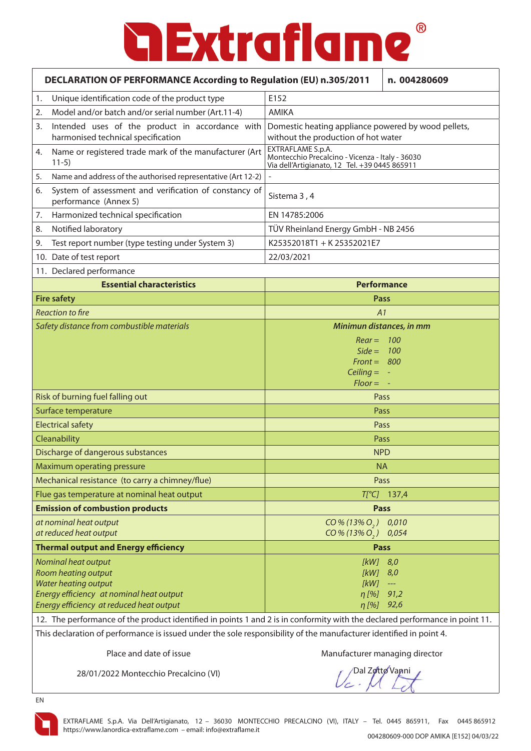|                                                                                                                    | <b>DECLARATION OF PERFORMANCE According to Regulation (EU) n.305/2011</b><br>n. 004280609                                   |                                                                                                                       |                      |  |
|--------------------------------------------------------------------------------------------------------------------|-----------------------------------------------------------------------------------------------------------------------------|-----------------------------------------------------------------------------------------------------------------------|----------------------|--|
| 1.                                                                                                                 | Unique identification code of the product type                                                                              | E152                                                                                                                  |                      |  |
| 2.                                                                                                                 | Model and/or batch and/or serial number (Art.11-4)                                                                          | <b>AMIKA</b>                                                                                                          |                      |  |
| 3.                                                                                                                 | Intended uses of the product in accordance with<br>harmonised technical specification                                       | Domestic heating appliance powered by wood pellets,<br>without the production of hot water                            |                      |  |
| 4.                                                                                                                 | Name or registered trade mark of the manufacturer (Art<br>$11-5)$                                                           | EXTRAFLAME S.p.A.<br>Montecchio Precalcino - Vicenza - Italy - 36030<br>Via dell'Artigianato, 12 Tel. +39 0445 865911 |                      |  |
| 5.                                                                                                                 | Name and address of the authorised representative (Art 12-2)                                                                |                                                                                                                       |                      |  |
| 6.                                                                                                                 | System of assessment and verification of constancy of<br>performance (Annex 5)                                              | Sistema 3, 4                                                                                                          |                      |  |
| 7.                                                                                                                 | Harmonized technical specification                                                                                          | EN 14785:2006                                                                                                         |                      |  |
| 8.                                                                                                                 | Notified laboratory                                                                                                         | TÜV Rheinland Energy GmbH - NB 2456                                                                                   |                      |  |
| 9.                                                                                                                 | Test report number (type testing under System 3)                                                                            | K25352018T1 + K25352021E7                                                                                             |                      |  |
|                                                                                                                    | 10. Date of test report                                                                                                     | 22/03/2021                                                                                                            |                      |  |
|                                                                                                                    | 11. Declared performance                                                                                                    |                                                                                                                       |                      |  |
|                                                                                                                    | <b>Essential characteristics</b>                                                                                            | <b>Performance</b>                                                                                                    |                      |  |
|                                                                                                                    | <b>Fire safety</b>                                                                                                          | Pass                                                                                                                  |                      |  |
|                                                                                                                    | <b>Reaction to fire</b>                                                                                                     | A1                                                                                                                    |                      |  |
|                                                                                                                    | Safety distance from combustible materials                                                                                  | Minimun distances, in mm                                                                                              |                      |  |
|                                                                                                                    |                                                                                                                             | $Rear = 100$                                                                                                          |                      |  |
|                                                                                                                    |                                                                                                                             | $Side = 100$                                                                                                          |                      |  |
|                                                                                                                    |                                                                                                                             | $Front = 800$<br>Ceiling $= -$                                                                                        |                      |  |
|                                                                                                                    |                                                                                                                             | $Floor = -$                                                                                                           |                      |  |
|                                                                                                                    | Risk of burning fuel falling out                                                                                            | Pass                                                                                                                  |                      |  |
|                                                                                                                    | Surface temperature<br>Pass                                                                                                 |                                                                                                                       |                      |  |
|                                                                                                                    | <b>Electrical safety</b>                                                                                                    | Pass                                                                                                                  |                      |  |
|                                                                                                                    | Cleanability                                                                                                                | Pass                                                                                                                  |                      |  |
|                                                                                                                    | Discharge of dangerous substances                                                                                           | <b>NPD</b>                                                                                                            |                      |  |
|                                                                                                                    | Maximum operating pressure                                                                                                  | <b>NA</b>                                                                                                             |                      |  |
|                                                                                                                    | Mechanical resistance (to carry a chimney/flue)                                                                             | Pass                                                                                                                  |                      |  |
|                                                                                                                    | Flue gas temperature at nominal heat output                                                                                 |                                                                                                                       | $T[^{\circ}C]$ 137,4 |  |
|                                                                                                                    | <b>Emission of combustion products</b>                                                                                      | <b>Pass</b>                                                                                                           |                      |  |
|                                                                                                                    | at nominal heat output                                                                                                      | $CO\% (13\% O, )$                                                                                                     | 0,010                |  |
|                                                                                                                    | at reduced heat output                                                                                                      | $CO\% (13\% O, )$                                                                                                     | 0,054                |  |
|                                                                                                                    | <b>Thermal output and Energy efficiency</b>                                                                                 | <b>Pass</b>                                                                                                           |                      |  |
|                                                                                                                    | Nominal heat output                                                                                                         | $[kW]$ 8,0                                                                                                            |                      |  |
|                                                                                                                    | Room heating output                                                                                                         | [kW]                                                                                                                  | 8,0                  |  |
|                                                                                                                    | <b>Water heating output</b>                                                                                                 | [kW]                                                                                                                  | ---                  |  |
|                                                                                                                    | Energy efficiency at nominal heat output                                                                                    | $\eta$ [%]                                                                                                            | 91,2                 |  |
|                                                                                                                    | Energy efficiency at reduced heat output                                                                                    | $\eta$ [%]                                                                                                            | 92,6                 |  |
|                                                                                                                    | 12. The performance of the product identified in points 1 and 2 is in conformity with the declared performance in point 11. |                                                                                                                       |                      |  |
| This declaration of performance is issued under the sole responsibility of the manufacturer identified in point 4. |                                                                                                                             |                                                                                                                       |                      |  |
|                                                                                                                    | Place and date of issue                                                                                                     | Manufacturer managing director                                                                                        |                      |  |

28/01/2022 Montecchio Precalcino (VI)

Dal Zotto Vanni

EN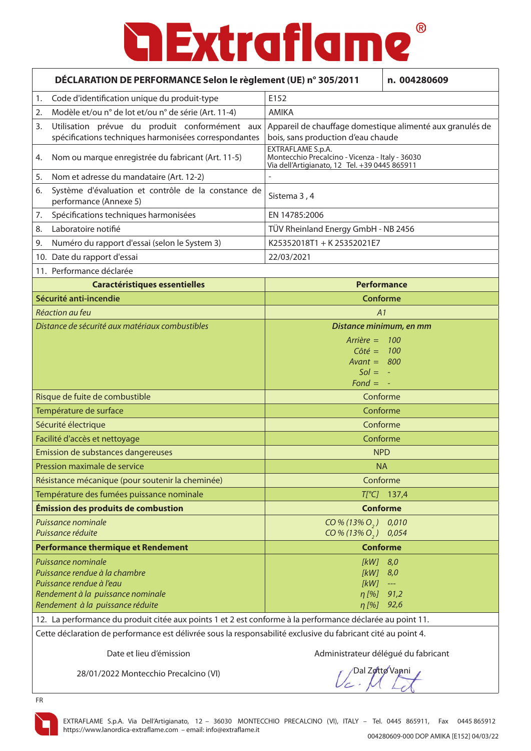| DÉCLARATION DE PERFORMANCE Selon le règlement (UE) n° 305/2011 |                                                                                                           | n. 004280609                                                                                                          |                                        |
|----------------------------------------------------------------|-----------------------------------------------------------------------------------------------------------|-----------------------------------------------------------------------------------------------------------------------|----------------------------------------|
| 1.                                                             | Code d'identification unique du produit-type                                                              | E152                                                                                                                  |                                        |
| 2.                                                             | Modèle et/ou n° de lot et/ou n° de série (Art. 11-4)                                                      | <b>AMIKA</b>                                                                                                          |                                        |
| 3.                                                             | Utilisation prévue du produit conformément aux<br>spécifications techniques harmonisées correspondantes   | Appareil de chauffage domestique alimenté aux granulés de<br>bois, sans production d'eau chaude                       |                                        |
| 4.                                                             | Nom ou marque enregistrée du fabricant (Art. 11-5)                                                        | EXTRAFLAME S.p.A.<br>Montecchio Precalcino - Vicenza - Italy - 36030<br>Via dell'Artigianato, 12 Tel. +39 0445 865911 |                                        |
| 5.                                                             | Nom et adresse du mandataire (Art. 12-2)                                                                  |                                                                                                                       |                                        |
| 6.                                                             | Système d'évaluation et contrôle de la constance de<br>performance (Annexe 5)                             | Sistema 3, 4                                                                                                          |                                        |
| 7.                                                             | Spécifications techniques harmonisées                                                                     | EN 14785:2006                                                                                                         |                                        |
| 8.                                                             | Laboratoire notifié                                                                                       | TÜV Rheinland Energy GmbH - NB 2456                                                                                   |                                        |
| 9.                                                             | Numéro du rapport d'essai (selon le System 3)                                                             | K25352018T1 + K25352021E7                                                                                             |                                        |
|                                                                | 10. Date du rapport d'essai                                                                               | 22/03/2021                                                                                                            |                                        |
|                                                                | 11. Performance déclarée                                                                                  |                                                                                                                       |                                        |
|                                                                | <b>Caractéristiques essentielles</b>                                                                      | <b>Performance</b>                                                                                                    |                                        |
|                                                                | Sécurité anti-incendie                                                                                    | <b>Conforme</b>                                                                                                       |                                        |
|                                                                | Réaction au feu                                                                                           | A1                                                                                                                    |                                        |
| Distance de sécurité aux matériaux combustibles                |                                                                                                           | Distance minimum, en mm                                                                                               |                                        |
|                                                                |                                                                                                           | $Arrière = 100$                                                                                                       |                                        |
|                                                                |                                                                                                           | $C \hat{o} t \hat{e} = 100$                                                                                           |                                        |
|                                                                |                                                                                                           | Avant = $800$<br>$Sol = -$                                                                                            |                                        |
|                                                                |                                                                                                           | $Fond = -$                                                                                                            |                                        |
|                                                                | Risque de fuite de combustible                                                                            | Conforme                                                                                                              |                                        |
|                                                                | Température de surface                                                                                    | Conforme                                                                                                              |                                        |
|                                                                | Sécurité électrique                                                                                       | Conforme                                                                                                              |                                        |
|                                                                | Facilité d'accès et nettoyage                                                                             | Conforme                                                                                                              |                                        |
|                                                                | Emission de substances dangereuses                                                                        | <b>NPD</b>                                                                                                            |                                        |
|                                                                | Pression maximale de service                                                                              | <b>NA</b>                                                                                                             |                                        |
|                                                                | Résistance mécanique (pour soutenir la cheminée)                                                          | Conforme                                                                                                              |                                        |
|                                                                | Température des fumées puissance nominale                                                                 |                                                                                                                       | $T[^{\circ}C]$ 137,4                   |
|                                                                | Émission des produits de combustion                                                                       |                                                                                                                       | <b>Conforme</b>                        |
|                                                                | Puissance nominale<br>Puissance réduite                                                                   | $CO\% (13\% O, )$<br>$CO\% (13\% O_{2})$                                                                              | 0,010<br>0,054                         |
|                                                                | <b>Performance thermique et Rendement</b><br><b>Conforme</b>                                              |                                                                                                                       |                                        |
|                                                                | Puissance nominale                                                                                        | $[kW]$ 8,0                                                                                                            |                                        |
|                                                                | Puissance rendue à la chambre                                                                             | $[KW]$ 8,0                                                                                                            |                                        |
|                                                                | Puissance rendue à l'eau                                                                                  | [kW]                                                                                                                  | $\scriptstyle\cdots\scriptstyle\cdots$ |
|                                                                | Rendement à la puissance nominale<br>Rendement à la puissance réduite                                     | $\eta$ [%]<br>$\eta$ [%] 92,6                                                                                         | 91,2                                   |
|                                                                | 12. La performance du produit citée aux points 1 et 2 est conforme à la performance déclarée au point 11. |                                                                                                                       |                                        |

Cette déclaration de performance est délivrée sous la responsabilité exclusive du fabricant cité au point 4.

Date et lieu d'émission **Administrateur délégué du fabricant** 

28/01/2022 Montecchio Precalcino (VI)

Dal Zotto Vanni



FR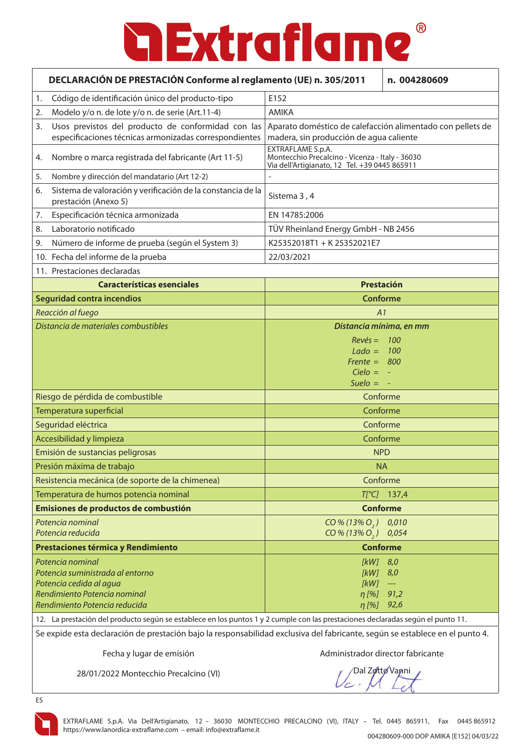|    | DECLARACIÓN DE PRESTACIÓN Conforme al reglamento (UE) n. 305/2011                                                                                |                                                                                                                       | n. 004280609                                          |
|----|--------------------------------------------------------------------------------------------------------------------------------------------------|-----------------------------------------------------------------------------------------------------------------------|-------------------------------------------------------|
| 1. | Código de identificación único del producto-tipo                                                                                                 | E152                                                                                                                  |                                                       |
| 2. | Modelo y/o n. de lote y/o n. de serie (Art.11-4)                                                                                                 | <b>AMIKA</b>                                                                                                          |                                                       |
| 3. | Usos previstos del producto de conformidad con las<br>especificaciones técnicas armonizadas correspondientes                                     | Aparato doméstico de calefacción alimentado con pellets de<br>madera, sin producción de agua caliente                 |                                                       |
| 4. | Nombre o marca registrada del fabricante (Art 11-5)                                                                                              | EXTRAFLAME S.p.A.<br>Montecchio Precalcino - Vicenza - Italy - 36030<br>Via dell'Artigianato, 12 Tel. +39 0445 865911 |                                                       |
| 5. | Nombre y dirección del mandatario (Art 12-2)                                                                                                     |                                                                                                                       |                                                       |
| 6. | Sistema de valoración y verificación de la constancia de la<br>prestación (Anexo 5)                                                              | Sistema 3, 4                                                                                                          |                                                       |
| 7. | Especificación técnica armonizada                                                                                                                | EN 14785:2006                                                                                                         |                                                       |
| 8. | Laboratorio notificado                                                                                                                           | TÜV Rheinland Energy GmbH - NB 2456                                                                                   |                                                       |
| 9. | Número de informe de prueba (según el System 3)                                                                                                  | K25352018T1 + K25352021E7                                                                                             |                                                       |
|    | 10. Fecha del informe de la prueba                                                                                                               | 22/03/2021                                                                                                            |                                                       |
|    | 11. Prestaciones declaradas                                                                                                                      |                                                                                                                       |                                                       |
|    | <b>Características esenciales</b>                                                                                                                | Prestación                                                                                                            |                                                       |
|    | <b>Seguridad contra incendios</b>                                                                                                                | <b>Conforme</b>                                                                                                       |                                                       |
|    | Reacción al fuego                                                                                                                                | A1                                                                                                                    |                                                       |
|    | Distancia de materiales combustibles                                                                                                             | Distancia mínima, en mm<br>$Rev\acute{e}s =$<br>- 100<br>$Lado = 100$<br>Frente = $800$                               |                                                       |
|    |                                                                                                                                                  | $Cielo = -$<br>Suelo $= -$                                                                                            |                                                       |
|    | Riesgo de pérdida de combustible                                                                                                                 | Conforme                                                                                                              |                                                       |
|    | Temperatura superficial                                                                                                                          | Conforme                                                                                                              |                                                       |
|    | Seguridad eléctrica                                                                                                                              | Conforme                                                                                                              |                                                       |
|    | Accesibilidad y limpieza                                                                                                                         | Conforme                                                                                                              |                                                       |
|    | Emisión de sustancias peligrosas                                                                                                                 | <b>NPD</b>                                                                                                            |                                                       |
|    | Presión máxima de trabajo                                                                                                                        | <b>NA</b>                                                                                                             |                                                       |
|    | Resistencia mecánica (de soporte de la chimenea)                                                                                                 | Conforme                                                                                                              |                                                       |
|    | Temperatura de humos potencia nominal                                                                                                            |                                                                                                                       | $T[^{\circ}C]$ 137,4                                  |
|    | Emisiones de productos de combustión                                                                                                             |                                                                                                                       | <b>Conforme</b>                                       |
|    | Potencia nominal<br>Potencia reducida                                                                                                            | $CO\% (13\% O, )$<br>$CO\% (13\% O_{2})$                                                                              | 0,010<br>0,054                                        |
|    | Prestaciones térmica y Rendimiento                                                                                                               | <b>Conforme</b>                                                                                                       |                                                       |
|    | Potencia nominal<br>Potencia suministrada al entorno<br>Potencia cedida al agua<br>Rendimiento Potencia nominal<br>Rendimiento Potencia reducida | $[KW]$ 8,0<br>[kW]<br>[kW]<br>$\eta$ [%]<br>$\eta$ [%] 92,6                                                           | 8,0<br>$\scriptstyle\cdots\scriptstyle\cdots$<br>91,2 |
|    | 12. La prestación del producto según se establece en los puntos 1 y 2 cumple con las prestaciones declaradas según el punto 11.                  |                                                                                                                       |                                                       |

Se expide esta declaración de prestación bajo la responsabilidad exclusiva del fabricante, según se establece en el punto 4.

Fecha y lugar de emisión **Administrador director fabricante** 

28/01/2022 Montecchio Precalcino (VI)

Dal Zotto Vanni



EXTRAFLAME S.p.A. Via Dell'Artigianato, 12 – 36030 MONTECCHIO PRECALCINO (VI), ITALY – Tel. 0445 865911, Fax 0445 865912 https://www.lanordica-extraflame.com – email: info@extraflame.it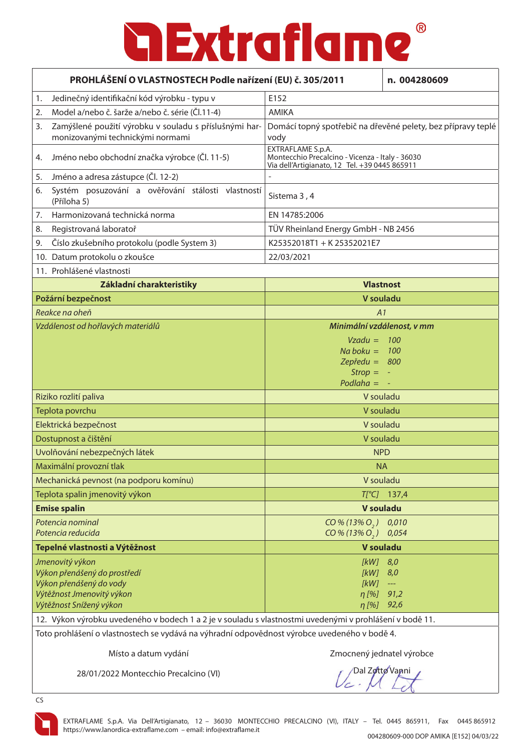| PROHLÁŠENÍ O VLASTNOSTECH Podle nařízení (EU) č. 305/2011 |                                                                                                         |                                                                                                                       | n. 004280609                        |
|-----------------------------------------------------------|---------------------------------------------------------------------------------------------------------|-----------------------------------------------------------------------------------------------------------------------|-------------------------------------|
| 1.                                                        | Jedinečný identifikační kód výrobku - typu v                                                            | E152                                                                                                                  |                                     |
| 2.                                                        | Model a/nebo č. šarže a/nebo č. série (Čl.11-4)                                                         | <b>AMIKA</b>                                                                                                          |                                     |
| 3.                                                        | Zamýšlené použití výrobku v souladu s příslušnými har-<br>monizovanými technickými normami              | Domácí topný spotřebič na dřevěné pelety, bez přípravy teplé<br>vody                                                  |                                     |
| 4.                                                        | Jméno nebo obchodní značka výrobce (Čl. 11-5)                                                           | EXTRAFLAME S.p.A.<br>Montecchio Precalcino - Vicenza - Italy - 36030<br>Via dell'Artigianato, 12 Tel. +39 0445 865911 |                                     |
| 5.                                                        | Jméno a adresa zástupce (Čl. 12-2)                                                                      |                                                                                                                       |                                     |
| 6.                                                        | Systém posuzování a ověřování stálosti vlastností<br>(Příloha 5)                                        | Sistema 3, 4                                                                                                          |                                     |
| 7.                                                        | Harmonizovaná technická norma                                                                           | EN 14785:2006                                                                                                         |                                     |
| 8.                                                        | Registrovaná laboratoř                                                                                  | TÜV Rheinland Energy GmbH - NB 2456                                                                                   |                                     |
| 9.                                                        | Číslo zkušebního protokolu (podle System 3)                                                             | K25352018T1 + K25352021E7                                                                                             |                                     |
|                                                           | 10. Datum protokolu o zkoušce                                                                           | 22/03/2021                                                                                                            |                                     |
|                                                           | 11. Prohlášené vlastnosti                                                                               |                                                                                                                       |                                     |
|                                                           | Základní charakteristiky                                                                                |                                                                                                                       | <b>Vlastnost</b>                    |
|                                                           | Požární bezpečnost                                                                                      |                                                                                                                       | V souladu                           |
|                                                           | Reakce na oheň                                                                                          | A1                                                                                                                    |                                     |
| Vzdálenost od hořlavých materiálů                         |                                                                                                         |                                                                                                                       | Minimální vzdálenost, v mm          |
|                                                           |                                                                                                         | $Vzadu = 100$                                                                                                         |                                     |
|                                                           |                                                                                                         | Na boku = $100$<br>Zepředu = $800$                                                                                    |                                     |
|                                                           |                                                                                                         | $Strong =$                                                                                                            |                                     |
|                                                           |                                                                                                         | Podlaha $= -$                                                                                                         |                                     |
|                                                           | Riziko rozlití paliva                                                                                   | V souladu                                                                                                             |                                     |
|                                                           | Teplota povrchu                                                                                         | V souladu                                                                                                             |                                     |
|                                                           | Elektrická bezpečnost                                                                                   | V souladu                                                                                                             |                                     |
|                                                           | Dostupnost a čištění                                                                                    | V souladu                                                                                                             |                                     |
|                                                           | Uvolňování nebezpečných látek                                                                           |                                                                                                                       | <b>NPD</b>                          |
|                                                           | Maximální provozní tlak                                                                                 | <b>NA</b>                                                                                                             |                                     |
|                                                           | Mechanická pevnost (na podporu komínu)                                                                  | V souladu                                                                                                             |                                     |
|                                                           | Teplota spalin jmenovitý výkon                                                                          |                                                                                                                       | $T[^{\circ}C]$ 137,4                |
|                                                           | <b>Emise spalin</b>                                                                                     |                                                                                                                       | V souladu                           |
|                                                           | Potencia nominal<br>Potencia reducida                                                                   | $CO\% (13\% O_{2})$<br>CO % (13% O <sub>2</sub> ) 0.054                                                               | 0,010                               |
|                                                           | Tepelné vlastnosti a Výtěžnost                                                                          | V souladu                                                                                                             |                                     |
|                                                           | Jmenovitý výkon                                                                                         | $[kW]$ 8,0                                                                                                            |                                     |
|                                                           | Výkon přenášený do prostředí                                                                            | $[kW]$ 8,0                                                                                                            |                                     |
|                                                           | Výkon přenášený do vody<br>Výtěžnost Jmenovitý výkon                                                    | [kW]<br>$\eta$ [%]                                                                                                    | $\rightarrow$ $\rightarrow$<br>91,2 |
|                                                           | Výtěžnost Snížený výkon                                                                                 | $\eta$ [%] 92,6                                                                                                       |                                     |
|                                                           | 12. Výkon výrobku uvedeného v bodech 1 a 2 je v souladu s vlastnostmi uvedenými v prohlášení v bodě 11. |                                                                                                                       |                                     |
|                                                           | Toto probléžení o vlastnostask so vydává na výhradní odnoviždnost výrokse vysodomáho v koděž.           |                                                                                                                       |                                     |

Toto prohlášení o vlastnostech se vydává na výhradní odpovědnost výrobce uvedeného v bodě 4.

Místo a datum vydání za nesto za nesto za zahladené za zmocnený jednatel výrobce

28/01/2022 Montecchio Precalcino (VI)

Dal Zotto Vanni

CS

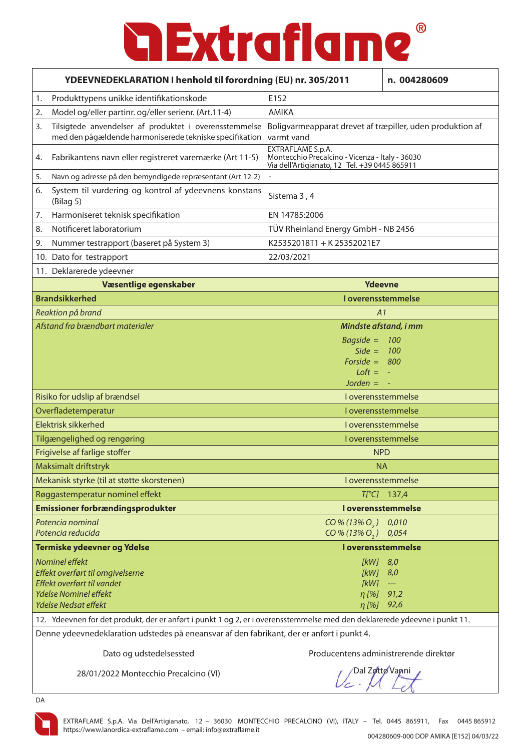| YDEEVNEDEKLARATION I henhold til forordning (EU) nr. 305/2011 |                                                                                                                           |                                                                                                                       | n. 004280609         |
|---------------------------------------------------------------|---------------------------------------------------------------------------------------------------------------------------|-----------------------------------------------------------------------------------------------------------------------|----------------------|
| 1.                                                            | Produkttypens unikke identifikationskode                                                                                  | E152                                                                                                                  |                      |
| 2.                                                            | Model og/eller partinr. og/eller serienr. (Art.11-4)                                                                      | <b>AMIKA</b>                                                                                                          |                      |
| 3.                                                            | Tilsigtede anvendelser af produktet i overensstemmelse<br>med den pågældende harmoniserede tekniske specifikation         | Boligvarmeapparat drevet af træpiller, uden produktion af<br>varmt vand                                               |                      |
| 4.                                                            | Fabrikantens navn eller registreret varemærke (Art 11-5)                                                                  | EXTRAFLAME S.p.A.<br>Montecchio Precalcino - Vicenza - Italy - 36030<br>Via dell'Artigianato, 12 Tel. +39 0445 865911 |                      |
| 5.                                                            | Navn og adresse på den bemyndigede repræsentant (Art 12-2)                                                                | $\overline{a}$                                                                                                        |                      |
| 6.                                                            | System til vurdering og kontrol af ydeevnens konstans<br>(Bilag <sub>5</sub> )                                            | Sistema 3, 4                                                                                                          |                      |
| 7.                                                            | Harmoniseret teknisk specifikation                                                                                        | EN 14785:2006                                                                                                         |                      |
| 8.                                                            | Notificeret laboratorium                                                                                                  | TÜV Rheinland Energy GmbH - NB 2456                                                                                   |                      |
| 9.                                                            | Nummer testrapport (baseret på System 3)                                                                                  | K25352018T1 + K25352021E7                                                                                             |                      |
|                                                               | 10. Dato for testrapport                                                                                                  | 22/03/2021                                                                                                            |                      |
|                                                               | 11. Deklarerede ydeevner                                                                                                  |                                                                                                                       |                      |
|                                                               | Væsentlige egenskaber                                                                                                     | <b>Ydeevne</b>                                                                                                        |                      |
|                                                               | <b>Brandsikkerhed</b>                                                                                                     | <b>Loverensstemmelse</b>                                                                                              |                      |
|                                                               | Reaktion på brand<br>A1                                                                                                   |                                                                                                                       |                      |
| Afstand fra brændbart materialer                              |                                                                                                                           | Mindste afstand, i mm                                                                                                 |                      |
|                                                               |                                                                                                                           | $Bagside =$                                                                                                           | 100                  |
|                                                               |                                                                                                                           | Side = $100$                                                                                                          |                      |
|                                                               |                                                                                                                           | Forside = $800$<br>$Loft =$                                                                                           |                      |
|                                                               |                                                                                                                           | Jorden $= -$                                                                                                          |                      |
|                                                               | Risiko for udslip af brændsel                                                                                             | I overensstemmelse                                                                                                    |                      |
|                                                               | Overfladetemperatur                                                                                                       | I overensstemmelse                                                                                                    |                      |
|                                                               | Elektrisk sikkerhed                                                                                                       |                                                                                                                       | I overensstemmelse   |
|                                                               | Tilgængelighed og rengøring                                                                                               | I overensstemmelse                                                                                                    |                      |
|                                                               | Frigivelse af farlige stoffer                                                                                             | <b>NPD</b>                                                                                                            |                      |
|                                                               | Maksimalt driftstryk                                                                                                      | <b>NA</b>                                                                                                             |                      |
|                                                               | Mekanisk styrke (til at støtte skorstenen)                                                                                | I overensstemmelse                                                                                                    |                      |
|                                                               | Røggastemperatur nominel effekt                                                                                           |                                                                                                                       | $T[^{\circ}C]$ 137,4 |
|                                                               | <b>Emissioner forbrændingsprodukter</b>                                                                                   |                                                                                                                       | I overensstemmelse   |
|                                                               | Potencia nominal                                                                                                          | $CO\% (13\% O, )$                                                                                                     | 0,010                |
|                                                               | Potencia reducida                                                                                                         | CO % (13% O <sub>2</sub> ) 0.054                                                                                      |                      |
|                                                               | Termiske ydeevner og Ydelse                                                                                               |                                                                                                                       | I overensstemmelse   |
|                                                               | Nominel effekt                                                                                                            | [kW]                                                                                                                  | 8,0                  |
|                                                               | Effekt overført til omgivelserne<br>Effekt overført til vandet                                                            | [kW]<br>[kW]                                                                                                          | 8,0                  |
|                                                               | <b>Ydelse Nominel effekt</b>                                                                                              | η [%] 91,2                                                                                                            | $\scriptstyle\cdots$ |
|                                                               | <b>Ydelse Nedsat effekt</b>                                                                                               | η [%] 92,6                                                                                                            |                      |
|                                                               | 12. Ydeevnen for det produkt, der er anført i punkt 1 og 2, er i overensstemmelse med den deklarerede ydeevne i punkt 11. |                                                                                                                       |                      |

Denne ydeevnedeklaration udstedes på eneansvar af den fabrikant, der er anført i punkt 4.

Dato og udstedelsessted Producentens administrerende direktør

28/01/2022 Montecchio Precalcino (VI)

Dal Zotto Vanni



DA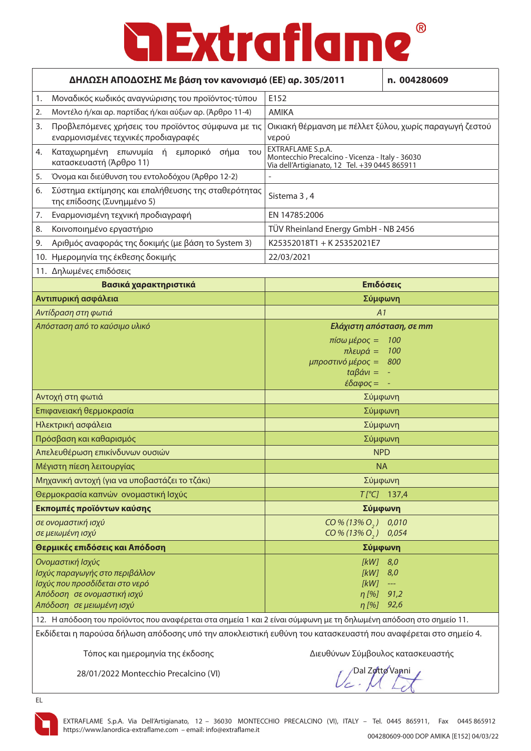| ΔΗΛΩΣΗ ΑΠΟΔΟΣΗΣ Με βάση τον κανονισμό (ΕΕ) αρ. 305/2011                                                                                                                                                                                                             |                                                                                                                            | n. 004280609                                   |
|---------------------------------------------------------------------------------------------------------------------------------------------------------------------------------------------------------------------------------------------------------------------|----------------------------------------------------------------------------------------------------------------------------|------------------------------------------------|
| Μοναδικός κωδικός αναγνώρισης του προϊόντος-τύπου<br>1.                                                                                                                                                                                                             | E152                                                                                                                       |                                                |
| Μοντέλο ή/και αρ. παρτίδας ή/και αύξων αρ. (Άρθρο 11-4)<br>2.                                                                                                                                                                                                       | <b>AMIKA</b>                                                                                                               |                                                |
| Προβλεπόμενες χρήσεις του προϊόντος σύμφωνα με τις<br>3.<br>εναρμονισμένες τεχνικές προδιαγραφές                                                                                                                                                                    | Οικιακή θέρμανση με πέλλετ ξύλου, χωρίς παραγωγή ζεστού<br>νερού                                                           |                                                |
| Καταχωρημένη επωνυμία ή εμπορικό σήμα του<br>4.<br>κατασκευαστή (Άρθρο 11)                                                                                                                                                                                          | EXTRAFLAME S.p.A.<br>Montecchio Precalcino - Vicenza - Italy - 36030<br>Via dell'Artigianato, 12 Tel. +39 0445 865911      |                                                |
| Όνομα και διεύθυνση του εντολοδόχου (Άρθρο 12-2)<br>5.                                                                                                                                                                                                              |                                                                                                                            |                                                |
| Σύστημα εκτίμησης και επαλήθευσης της σταθερότητας<br>6.<br>της επίδοσης (Συνημμένο 5)                                                                                                                                                                              | Sistema 3, 4                                                                                                               |                                                |
| Εναρμονισμένη τεχνική προδιαγραφή<br>7.                                                                                                                                                                                                                             | EN 14785:2006                                                                                                              |                                                |
| Κοινοποιημένο εργαστήριο<br>8.                                                                                                                                                                                                                                      | TÜV Rheinland Energy GmbH - NB 2456                                                                                        |                                                |
| Αριθμός αναφοράς της δοκιμής (με βάση το System 3)<br>9.                                                                                                                                                                                                            | K25352018T1 + K25352021E7                                                                                                  |                                                |
| 10. Ημερομηνία της έκθεσης δοκιμής                                                                                                                                                                                                                                  | 22/03/2021                                                                                                                 |                                                |
| 11. Δηλωμένες επιδόσεις                                                                                                                                                                                                                                             |                                                                                                                            |                                                |
| Βασικά χαρακτηριστικά                                                                                                                                                                                                                                               |                                                                                                                            | Επιδόσεις                                      |
| Αντιπυρική ασφάλεια                                                                                                                                                                                                                                                 | Σύμφωνη                                                                                                                    |                                                |
| Αντίδραση στη φωτιά                                                                                                                                                                                                                                                 | A1                                                                                                                         |                                                |
| Απόσταση από το καύσιμο υλικό                                                                                                                                                                                                                                       | Ελάχιστη απόσταση, σε mm                                                                                                   |                                                |
|                                                                                                                                                                                                                                                                     | πίσω μέρος =<br>$πλευρά =$<br>μπροστινό μέρος =<br>$\text{tr} \beta \acute{\alpha} \nu \mathbf{l} =$<br>$\epsilon$ δαφος = | 100<br>100<br>800                              |
| Αντοχή στη φωτιά                                                                                                                                                                                                                                                    |                                                                                                                            | Σύμφωνη                                        |
| Επιφανειακή θερμοκρασία                                                                                                                                                                                                                                             |                                                                                                                            | Σύμφωνη                                        |
| Ηλεκτρική ασφάλεια                                                                                                                                                                                                                                                  |                                                                                                                            | Σύμφωνη                                        |
| Πρόσβαση και καθαρισμός                                                                                                                                                                                                                                             |                                                                                                                            | Σύμφωνη                                        |
| Απελευθέρωση επικίνδυνων ουσιών                                                                                                                                                                                                                                     |                                                                                                                            | <b>NPD</b>                                     |
| Μέγιστη πίεση λειτουργίας                                                                                                                                                                                                                                           | <b>NA</b>                                                                                                                  |                                                |
| Μηχανική αντοχή (για να υποβαστάζει το τζάκι)                                                                                                                                                                                                                       |                                                                                                                            | Σύμφωνη                                        |
| Θερμοκρασία καπνών ονομαστική Ισχύς                                                                                                                                                                                                                                 |                                                                                                                            | $T[^{\circ}C]$ 137,4                           |
| Εκπομπές προϊόντων καύσης                                                                                                                                                                                                                                           |                                                                                                                            | Σύμφωνη                                        |
| σε ονομαστική ισχύ<br>σε μειωμένη ισχύ                                                                                                                                                                                                                              | CO % (13% O <sub>2</sub> )<br>CO % (13% O <sub>2</sub> )                                                                   | 0,010<br>0,054                                 |
| Θερμικές επιδόσεις και Απόδοση                                                                                                                                                                                                                                      | Σύμφωνη                                                                                                                    |                                                |
| Ονομαστική Ισχύς<br>Ισχύς παραγωγής στο περιβάλλον<br>Ισχύς που προσδίδεται στο νερό<br>Απόδοση σε ονομαστική ισχύ<br>Απόδοση σε μειωμένη ισχύ<br>12. Η απόδοση του προϊόντος που αναφέρεται στα σημεία 1 και 2 είναι σύμφωνη με τη δηλωμένη απόδοση στο σημείο 11. | $[KW]$ 8,0<br>$[kW]$ 8,0<br>[kW]<br>η [%]<br>$\eta$ [%] 92,6                                                               | $\scriptstyle\cdots\scriptstyle\cdots$<br>91,2 |

Εκδίδεται η παρούσα δήλωση απόδοσης υπό την αποκλειστική ευθύνη του κατασκευαστή που αναφέρεται στο σημείο 4.

Τόπος και ημερομηνία της έκδοσης Διευθύνων Σύμβουλος κατασκευαστής

28/01/2022 Montecchio Precalcino (VI)

Dal Zotto Vanni



EL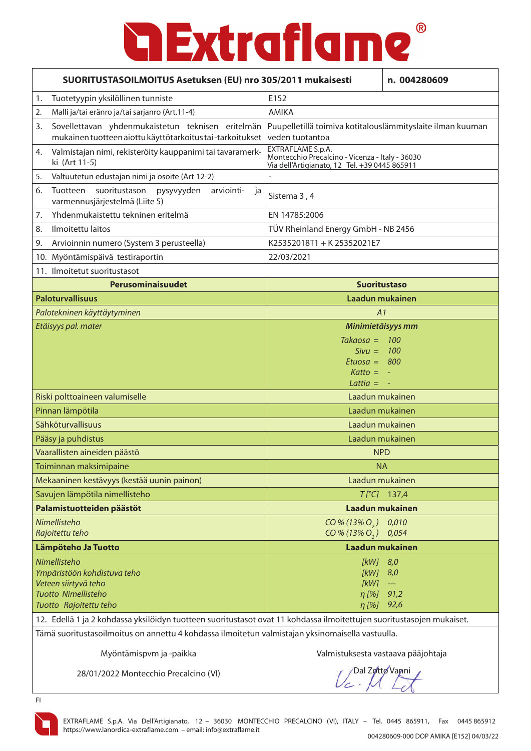| SUORITUSTASOILMOITUS Asetuksen (EU) nro 305/2011 mukaisesti |                                                                                                                       |                                                                                                                       | n. 004280609                           |
|-------------------------------------------------------------|-----------------------------------------------------------------------------------------------------------------------|-----------------------------------------------------------------------------------------------------------------------|----------------------------------------|
| 1.                                                          | Tuotetyypin yksilöllinen tunniste                                                                                     | F <sub>152</sub>                                                                                                      |                                        |
| 2.                                                          | Malli ja/tai eränro ja/tai sarjanro (Art.11-4)                                                                        | <b>AMIKA</b>                                                                                                          |                                        |
| 3.                                                          | Sovellettavan yhdenmukaistetun teknisen eritelmän<br>mukainen tuotteen aiottu käyttötarkoitus tai-tarkoitukset        | Puupelletillä toimiva kotitalouslämmityslaite ilman kuuman<br>veden tuotantoa                                         |                                        |
| 4.                                                          | Valmistajan nimi, rekisteröity kauppanimi tai tavaramerk-<br>ki (Art 11-5)                                            | EXTRAFLAME S.p.A.<br>Montecchio Precalcino - Vicenza - Italy - 36030<br>Via dell'Artigianato, 12 Tel. +39 0445 865911 |                                        |
| 5.                                                          | Valtuutetun edustajan nimi ja osoite (Art 12-2)                                                                       |                                                                                                                       |                                        |
| 6.                                                          | Tuotteen<br>suoritustason pysyvyyden<br>arviointi-<br>ja<br>varmennusjärjestelmä (Liite 5)                            | Sistema 3, 4                                                                                                          |                                        |
| 7.                                                          | Yhdenmukaistettu tekninen eritelmä                                                                                    | EN 14785:2006                                                                                                         |                                        |
| 8.                                                          | Ilmoitettu laitos                                                                                                     | TÜV Rheinland Energy GmbH - NB 2456                                                                                   |                                        |
| 9.                                                          | Arvioinnin numero (System 3 perusteella)                                                                              | K25352018T1 + K25352021E7                                                                                             |                                        |
|                                                             | 10. Myöntämispäivä testiraportin                                                                                      | 22/03/2021                                                                                                            |                                        |
|                                                             | 11. Ilmoitetut suoritustasot                                                                                          |                                                                                                                       |                                        |
|                                                             | Perusominaisuudet                                                                                                     | <b>Suoritustaso</b>                                                                                                   |                                        |
|                                                             | <b>Paloturvallisuus</b>                                                                                               | Laadun mukainen                                                                                                       |                                        |
|                                                             | Palotekninen käyttäytyminen                                                                                           | A1                                                                                                                    |                                        |
| Etäisyys pal. mater                                         |                                                                                                                       | Minimietäisyys mm                                                                                                     |                                        |
|                                                             |                                                                                                                       | $Takaosa =$                                                                                                           | 100                                    |
|                                                             |                                                                                                                       | $Sivu =$                                                                                                              | <b>100</b>                             |
|                                                             |                                                                                                                       | $Etuosa = 800$<br>$Katto =$                                                                                           |                                        |
|                                                             |                                                                                                                       | Lattia $=$                                                                                                            |                                        |
|                                                             | Riski polttoaineen valumiselle                                                                                        | Laadun mukainen                                                                                                       |                                        |
|                                                             | Pinnan lämpötila                                                                                                      | Laadun mukainen                                                                                                       |                                        |
|                                                             | Sähköturvallisuus                                                                                                     | Laadun mukainen                                                                                                       |                                        |
|                                                             | Pääsy ja puhdistus                                                                                                    | Laadun mukainen                                                                                                       |                                        |
|                                                             | Vaarallisten aineiden päästö                                                                                          | <b>NPD</b>                                                                                                            |                                        |
|                                                             | Toiminnan maksimipaine                                                                                                | <b>NA</b>                                                                                                             |                                        |
|                                                             | Mekaaninen kestävyys (kestää uunin painon)                                                                            | Laadun mukainen                                                                                                       |                                        |
|                                                             | Savujen lämpötila nimellisteho                                                                                        |                                                                                                                       | $T[^{\circ}C]$ 137,4                   |
|                                                             | Palamistuotteiden päästöt                                                                                             | <b>Laadun mukainen</b>                                                                                                |                                        |
|                                                             | Nimellisteho                                                                                                          | $CO\% (13\% O, )$                                                                                                     | 0,010                                  |
| Rajoitettu teho                                             |                                                                                                                       | $CO\% (13\% O_{2})$                                                                                                   | 0,054                                  |
|                                                             | Lämpöteho Ja Tuotto                                                                                                   | Laadun mukainen                                                                                                       |                                        |
|                                                             | Nimellisteho                                                                                                          | [kW] 8,0                                                                                                              |                                        |
|                                                             | Ympäristöön kohdistuva teho<br>Veteen siirtyvä teho                                                                   | $[kW]$ 8,0<br>[kW]                                                                                                    | $\scriptstyle\cdots\scriptstyle\cdots$ |
|                                                             | Tuotto Nimellisteho                                                                                                   | $\eta$ [%]                                                                                                            | 91,2                                   |
|                                                             | Tuotto Rajoitettu teho                                                                                                | η [%] 92,6                                                                                                            |                                        |
|                                                             | 12. Edellä 1 ja 2 kohdassa yksilöidyn tuotteen suoritustasot ovat 11 kohdassa ilmoitettujen suoritustasojen mukaiset. |                                                                                                                       |                                        |

Tämä suoritustasoilmoitus on annettu 4 kohdassa ilmoitetun valmistajan yksinomaisella vastuulla.

Myöntämispvm ja -paikka Valmistuksesta vastaava pääjohtaja

28/01/2022 Montecchio Precalcino (VI)

Dal Zotto Vanni



FI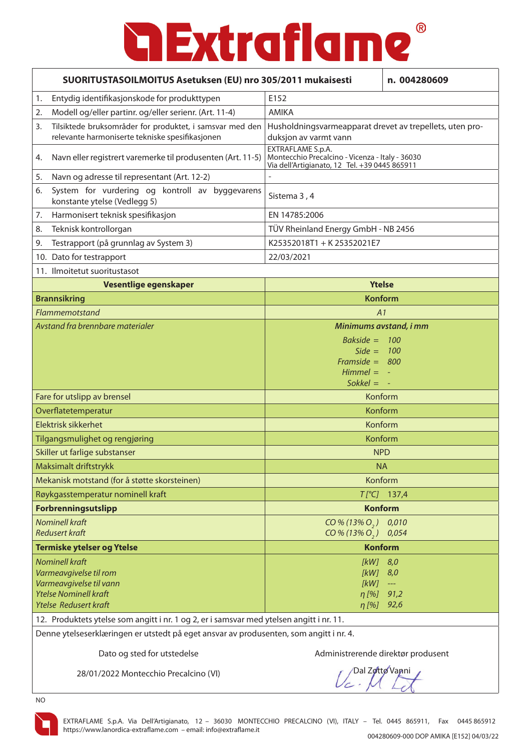| SUORITUSTASOILMOITUS Asetuksen (EU) nro 305/2011 mukaisesti                                                                                |                                                                                                                       | n. 004280609                             |  |
|--------------------------------------------------------------------------------------------------------------------------------------------|-----------------------------------------------------------------------------------------------------------------------|------------------------------------------|--|
| Entydig identifikasjonskode for produkttypen<br>1.                                                                                         | E152                                                                                                                  |                                          |  |
| Modell og/eller partinr. og/eller serienr. (Art. 11-4)<br>2.                                                                               | <b>AMIKA</b>                                                                                                          |                                          |  |
| Tilsiktede bruksområder for produktet, i samsvar med den<br>3.<br>relevante harmoniserte tekniske spesifikasjonen                          | Husholdningsvarmeapparat drevet av trepellets, uten pro-<br>duksjon av varmt vann                                     |                                          |  |
| Navn eller registrert varemerke til produsenten (Art. 11-5)<br>4.                                                                          | EXTRAFLAME S.p.A.<br>Montecchio Precalcino - Vicenza - Italy - 36030<br>Via dell'Artigianato, 12 Tel. +39 0445 865911 |                                          |  |
| Navn og adresse til representant (Art. 12-2)<br>5.                                                                                         |                                                                                                                       |                                          |  |
| System for vurdering og kontroll av byggevarens<br>6.<br>konstante ytelse (Vedlegg 5)                                                      | Sistema 3, 4                                                                                                          |                                          |  |
| Harmonisert teknisk spesifikasjon<br>7.                                                                                                    | EN 14785:2006                                                                                                         |                                          |  |
| Teknisk kontrollorgan<br>8.                                                                                                                | TÜV Rheinland Energy GmbH - NB 2456                                                                                   |                                          |  |
| Testrapport (på grunnlag av System 3)<br>9.                                                                                                | K25352018T1 + K25352021E7                                                                                             |                                          |  |
| 10. Dato for testrapport                                                                                                                   | 22/03/2021                                                                                                            |                                          |  |
| 11. Ilmoitetut suoritustasot                                                                                                               |                                                                                                                       |                                          |  |
| Vesentlige egenskaper                                                                                                                      | <b>Ytelse</b>                                                                                                         |                                          |  |
| <b>Brannsikring</b>                                                                                                                        |                                                                                                                       | <b>Konform</b>                           |  |
| Flammemotstand                                                                                                                             | A1                                                                                                                    |                                          |  |
| Avstand fra brennbare materialer                                                                                                           | Minimums avstand, i mm                                                                                                |                                          |  |
|                                                                                                                                            | Bakside = $100$<br>Side = $100$<br>Framside = $800$<br>$Himmel = -$<br>$Sokkel = -$                                   |                                          |  |
| Fare for utslipp av brensel                                                                                                                | Konform                                                                                                               |                                          |  |
| Overflatetemperatur                                                                                                                        | Konform                                                                                                               |                                          |  |
| Elektrisk sikkerhet                                                                                                                        | Konform                                                                                                               |                                          |  |
| Tilgangsmulighet og rengjøring                                                                                                             | Konform                                                                                                               |                                          |  |
| Skiller ut farlige substanser                                                                                                              | <b>NPD</b>                                                                                                            |                                          |  |
| Maksimalt driftstrykk                                                                                                                      | <b>NA</b>                                                                                                             |                                          |  |
| Mekanisk motstand (for å støtte skorsteinen)                                                                                               | Konform                                                                                                               |                                          |  |
| Røykgasstemperatur nominell kraft                                                                                                          |                                                                                                                       | $T[^{\circ}C]$ 137,4                     |  |
| Forbrenningsutslipp                                                                                                                        | <b>Konform</b>                                                                                                        |                                          |  |
| <b>Nominell kraft</b><br><b>Redusert kraft</b>                                                                                             | $CO\% (13\% O_{2})$<br>CO % (13% O <sub>2</sub> )                                                                     | 0,010<br>0,054                           |  |
| <b>Termiske ytelser og Ytelse</b>                                                                                                          | <b>Konform</b>                                                                                                        |                                          |  |
| <b>Nominell kraft</b><br>Varmeavgivelse til rom<br>Varmeavgivelse til vann<br><b>Ytelse Nominell kraft</b><br><b>Ytelse Redusert kraft</b> | [kW] 8,0<br>[kW]<br>[kW]<br>η [%] 91,2<br>η [%] 92,6                                                                  | 8,0<br>$\hspace{0.05cm} \dashrightarrow$ |  |
| 12. Produktets ytelse som angitt i nr. 1 og 2, er i samsvar med ytelsen angitt i nr. 11.                                                   |                                                                                                                       |                                          |  |
| Denne utelseerskleeringen en utete dir nå eget ener en sum                                                                                 |                                                                                                                       |                                          |  |

Denne ytelseserklæringen er utstedt på eget ansvar av produsenten, som angitt i nr. 4.

Dato og sted for utstedelse Administrerende direktør produsent

28/01/2022 Montecchio Precalcino (VI)

Dal Zotto Vanni



NO

EXTRAFLAME S.p.A. Via Dell'Artigianato, 12 – 36030 MONTECCHIO PRECALCINO (VI), ITALY – Tel. 0445 865911, Fax 0445 865912 https://www.lanordica-extraflame.com – email: info@extraflame.it 004280609-000 DOP AMIKA [E152] 04/03/22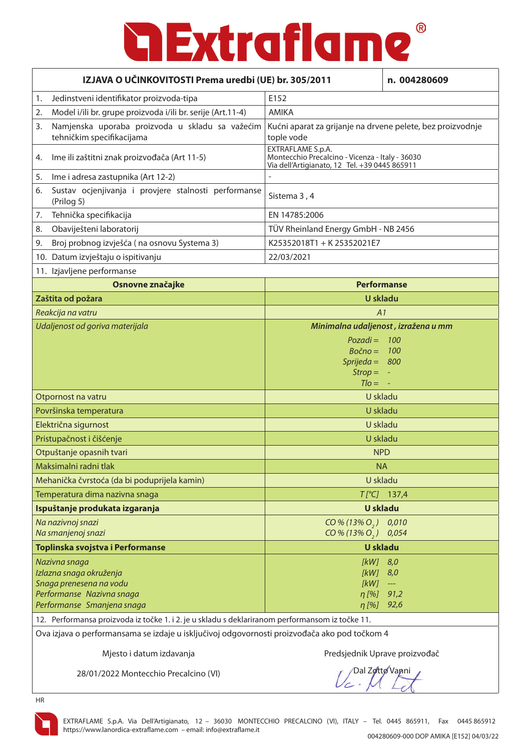| IZJAVA O UČINKOVITOSTI Prema uredbi (UE) br. 305/2011                                                                                                                                           |                                                                                                                       | n. 004280609                        |
|-------------------------------------------------------------------------------------------------------------------------------------------------------------------------------------------------|-----------------------------------------------------------------------------------------------------------------------|-------------------------------------|
| Jedinstveni identifikator proizvoda-tipa<br>1.                                                                                                                                                  | E152                                                                                                                  |                                     |
| Model i/ili br. grupe proizvoda i/ili br. serije (Art.11-4)<br>2.                                                                                                                               | <b>AMIKA</b>                                                                                                          |                                     |
| 3.<br>Namjenska uporaba proizvoda u skladu sa važećim<br>tehničkim specifikacijama                                                                                                              | Kućni aparat za grijanje na drvene pelete, bez proizvodnje<br>tople vode                                              |                                     |
| Ime ili zaštitni znak proizvođača (Art 11-5)<br>4.                                                                                                                                              | EXTRAFLAME S.p.A.<br>Montecchio Precalcino - Vicenza - Italy - 36030<br>Via dell'Artigianato, 12 Tel. +39 0445 865911 |                                     |
| Ime i adresa zastupnika (Art 12-2)<br>5.                                                                                                                                                        |                                                                                                                       |                                     |
| Sustav ocjenjivanja i provjere stalnosti performanse<br>6.<br>(Prilog 5)                                                                                                                        | Sistema 3, 4                                                                                                          |                                     |
| Tehnička specifikacija<br>7.                                                                                                                                                                    | EN 14785:2006                                                                                                         |                                     |
| Obaviješteni laboratorij<br>8.                                                                                                                                                                  | TÜV Rheinland Energy GmbH - NB 2456                                                                                   |                                     |
| Broj probnog izvješća (na osnovu Systema 3)<br>9.                                                                                                                                               | K25352018T1 + K25352021E7                                                                                             |                                     |
| 10. Datum izvještaju o ispitivanju                                                                                                                                                              | 22/03/2021                                                                                                            |                                     |
| 11. Izjavljene performanse                                                                                                                                                                      |                                                                                                                       |                                     |
| Osnovne značajke                                                                                                                                                                                |                                                                                                                       | <b>Performanse</b>                  |
| Zaštita od požara                                                                                                                                                                               |                                                                                                                       | <b>U</b> skladu                     |
| Reakcija na vatru                                                                                                                                                                               | A1                                                                                                                    |                                     |
| Udaljenost od goriva materijala                                                                                                                                                                 |                                                                                                                       | Minimalna udaljenost, izražena u mm |
|                                                                                                                                                                                                 | $Pozadi =$<br>$Bočno = 100$<br>$S\rho$ rijeda =<br>$Strop =$<br>$TIO =$                                               | - 100<br>800                        |
| Otpornost na vatru                                                                                                                                                                              |                                                                                                                       | U skladu                            |
| Površinska temperatura                                                                                                                                                                          |                                                                                                                       | U skladu                            |
| Električna sigurnost                                                                                                                                                                            |                                                                                                                       | U skladu                            |
| Pristupačnost i čišćenje                                                                                                                                                                        |                                                                                                                       | U skladu                            |
| Otpuštanje opasnih tvari                                                                                                                                                                        |                                                                                                                       | <b>NPD</b>                          |
| Maksimalni radni tlak                                                                                                                                                                           | <b>NA</b>                                                                                                             |                                     |
| Mehanička čvrstoća (da bi poduprijela kamin)                                                                                                                                                    |                                                                                                                       | U skladu                            |
| Temperatura dima nazivna snaga                                                                                                                                                                  |                                                                                                                       | $T[^{\circ}C]$ 137,4                |
| Ispuštanje produkata izgaranja                                                                                                                                                                  |                                                                                                                       | <b>U</b> skladu                     |
| Na nazivnoj snazi<br>Na smanjenoj snazi                                                                                                                                                         | $CO\% (13\% O, )$<br>CO % (13% O <sub>2</sub> )                                                                       | 0,010<br>0,054                      |
| Toplinska svojstva i Performanse                                                                                                                                                                |                                                                                                                       | <b>U</b> skladu                     |
| Nazivna snaga<br>Izlazna snaga okruženja<br>Snaga prenesena na vodu<br>Performanse Nazivna snaga<br>Performanse Smanjena snaga                                                                  | [kW]<br>[kW]<br>[kW]<br>$\eta$ [%]<br>$\eta$ [%]                                                                      | 8,0<br>8,0<br>---<br>91,2<br>92,6   |
| 12. Performansa proizvoda iz točke 1. i 2. je u skladu s deklariranom performansom iz točke 11.<br>Ova iziava o porformancama so izdajo u isključivoj odgovornosti proizvođača ako pod točkom 4 |                                                                                                                       |                                     |

Ova izjava o performansama se izdaje u isključivoj odgovornosti proizvođača ako pod točkom 4

Mjesto i datum izdavanja **Avan izmesto i objektorila na vrhijesto** Predsjednik Uprave proizvođač

28/01/2022 Montecchio Precalcino (VI)

Dal Zotto Vanni

HR

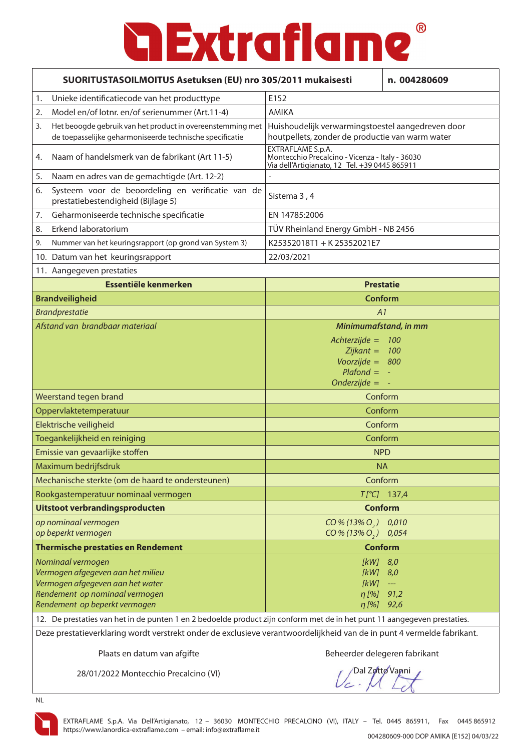| SUORITUSTASOILMOITUS Asetuksen (EU) nro 305/2011 mukaisesti                                                                                                                                                                                        |                                                                                                                       | n. 004280609                                   |
|----------------------------------------------------------------------------------------------------------------------------------------------------------------------------------------------------------------------------------------------------|-----------------------------------------------------------------------------------------------------------------------|------------------------------------------------|
| Unieke identificatiecode van het producttype<br>1.                                                                                                                                                                                                 | E152                                                                                                                  |                                                |
| Model en/of lotnr. en/of serienummer (Art.11-4)<br>2.                                                                                                                                                                                              | AMIKA                                                                                                                 |                                                |
| Het beoogde gebruik van het product in overeenstemming met<br>3.<br>de toepasselijke geharmoniseerde technische specificatie                                                                                                                       | Huishoudelijk verwarmingstoestel aangedreven door<br>houtpellets, zonder de productie van warm water                  |                                                |
| Naam of handelsmerk van de fabrikant (Art 11-5)<br>4.                                                                                                                                                                                              | EXTRAFLAME S.p.A.<br>Montecchio Precalcino - Vicenza - Italy - 36030<br>Via dell'Artigianato, 12 Tel. +39 0445 865911 |                                                |
| Naam en adres van de gemachtigde (Art. 12-2)<br>5.                                                                                                                                                                                                 |                                                                                                                       |                                                |
| Systeem voor de beoordeling en verificatie van de<br>6.<br>prestatiebestendigheid (Bijlage 5)                                                                                                                                                      | Sistema 3, 4                                                                                                          |                                                |
| Geharmoniseerde technische specificatie<br>7.                                                                                                                                                                                                      | EN 14785:2006                                                                                                         |                                                |
| Erkend laboratorium<br>8.                                                                                                                                                                                                                          | TÜV Rheinland Energy GmbH - NB 2456                                                                                   |                                                |
| Nummer van het keuringsrapport (op grond van System 3)<br>9.                                                                                                                                                                                       | K25352018T1 + K25352021E7                                                                                             |                                                |
| 10. Datum van het keuringsrapport                                                                                                                                                                                                                  | 22/03/2021                                                                                                            |                                                |
| 11. Aangegeven prestaties                                                                                                                                                                                                                          |                                                                                                                       |                                                |
| Essentiële kenmerken                                                                                                                                                                                                                               | <b>Prestatie</b>                                                                                                      |                                                |
| <b>Brandveiligheid</b>                                                                                                                                                                                                                             | Conform                                                                                                               |                                                |
| <b>Brandprestatie</b>                                                                                                                                                                                                                              | A1                                                                                                                    |                                                |
| Afstand van brandbaar materiaal                                                                                                                                                                                                                    | Minimumafstand, in mm                                                                                                 |                                                |
|                                                                                                                                                                                                                                                    | $Achterzijde =$<br>100<br>$Zijkant = 100$<br>Voorzijde = $800$<br>$Plafond = -$<br>Onderzijde = $-$                   |                                                |
| Weerstand tegen brand                                                                                                                                                                                                                              | Conform                                                                                                               |                                                |
| Oppervlaktetemperatuur                                                                                                                                                                                                                             | Conform                                                                                                               |                                                |
| Elektrische veiligheid                                                                                                                                                                                                                             | Conform                                                                                                               |                                                |
| Toegankelijkheid en reiniging                                                                                                                                                                                                                      | Conform                                                                                                               |                                                |
| Emissie van gevaarlijke stoffen                                                                                                                                                                                                                    | <b>NPD</b>                                                                                                            |                                                |
| Maximum bedrijfsdruk                                                                                                                                                                                                                               | <b>NA</b>                                                                                                             |                                                |
| Mechanische sterkte (om de haard te ondersteunen)                                                                                                                                                                                                  |                                                                                                                       | Conform                                        |
| Rookgastemperatuur nominaal vermogen                                                                                                                                                                                                               |                                                                                                                       | $T[^{\circ}C]$ 137,4                           |
| Uitstoot verbrandingsproducten                                                                                                                                                                                                                     |                                                                                                                       | <b>Conform</b>                                 |
| op nominaal vermogen<br>op beperkt vermogen                                                                                                                                                                                                        | CO % (13% O <sub>2</sub> ) 0.010<br>CO % (13% O <sub>2</sub> ) 0.054                                                  |                                                |
| <b>Thermische prestaties en Rendement</b>                                                                                                                                                                                                          | <b>Conform</b>                                                                                                        |                                                |
| Nominaal vermogen<br>Vermogen afgegeven aan het milieu<br>Vermogen afgegeven aan het water<br>Rendement op nominaal vermogen<br>Rendement op beperkt vermogen                                                                                      | [kW] 8,0<br>$[KW]$ 8,0<br>[kW]<br>$\eta$ [%]<br>η [%] 92,6                                                            | $\scriptstyle\cdots\scriptstyle\cdots$<br>91,2 |
| 12. De prestaties van het in de punten 1 en 2 bedoelde product zijn conform met de in het punt 11 aangegeven prestaties.<br>Deze prestatieverklaring wordt verstrekt onder de exclusieve verantwoordelijkheid van de in punt 4 vermelde fabrikant. |                                                                                                                       |                                                |

Plaats en datum van afgifte Beheerder delegeren fabrikant

28/01/2022 Montecchio Precalcino (VI)

Dal Zotto Vanni

NL

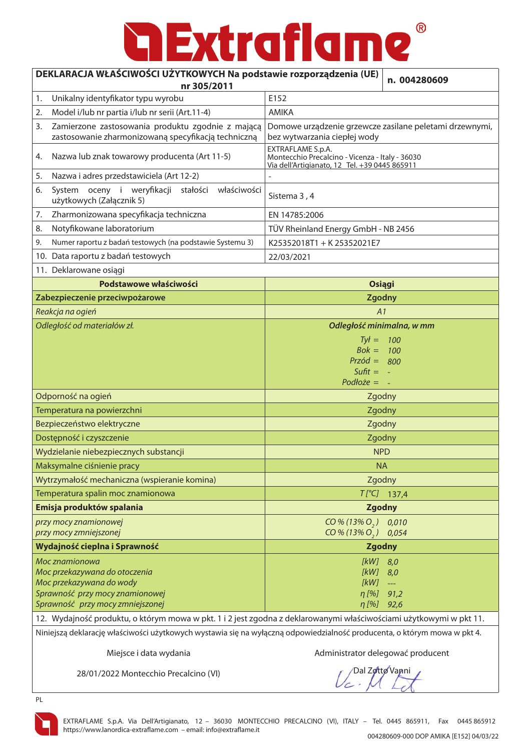#### ® **Extraflame**

#### **DEKLARACJA WŁAŚCIWOŚCI UŻYTKOWYCH Na podst**

| INACJA WEAJCHVOJCI UZTTROW ICH NA POUSIAWIE IUZPOIZAUZENIA (UL)<br>nr 305/2011                                 | n. 004280609                                                                                                          |  |
|----------------------------------------------------------------------------------------------------------------|-----------------------------------------------------------------------------------------------------------------------|--|
| Unikalny identyfikator typu wyrobu<br>1.                                                                       | E152                                                                                                                  |  |
| Model i/lub nr partia i/lub nr serii (Art.11-4)<br>2.                                                          | <b>AMIKA</b>                                                                                                          |  |
| Zamierzone zastosowania produktu zgodnie z mającą<br>3.<br>zastosowanie zharmonizowaną specyfikacją techniczną | Domowe urządzenie grzewcze zasilane peletami drzewnymi,<br>bez wytwarzania ciepłej wody                               |  |
| Nazwa lub znak towarowy producenta (Art 11-5)<br>4.                                                            | EXTRAFLAME S.p.A.<br>Montecchio Precalcino - Vicenza - Italy - 36030<br>Via dell'Artigianato, 12 Tel. +39 0445 865911 |  |
| Nazwa i adres przedstawiciela (Art 12-2)<br>5.                                                                 |                                                                                                                       |  |
| System oceny i weryfikacji<br>stałości<br>właściwości<br>6.<br>użytkowych (Załącznik 5)                        | Sistema 3, 4                                                                                                          |  |
| Zharmonizowana specyfikacja techniczna<br>7.                                                                   | EN 14785:2006                                                                                                         |  |
| Notyfikowane laboratorium<br>8.                                                                                | TÜV Rheinland Energy GmbH - NB 2456                                                                                   |  |
| Numer raportu z badań testowych (na podstawie Systemu 3)<br>9.                                                 | K25352018T1 + K25352021E7                                                                                             |  |
| 10. Data raportu z badań testowych                                                                             | 22/03/2021                                                                                                            |  |
| 11. Deklarowane osiągi                                                                                         |                                                                                                                       |  |
| Podstawowe właściwości                                                                                         | <b>Osiągi</b>                                                                                                         |  |
| Zabezpieczenie przeciwpożarowe                                                                                 | <b>Zgodny</b>                                                                                                         |  |
| Reakcja na ogień                                                                                               | A1                                                                                                                    |  |
| Odległość od materiałów zł.                                                                                    | Odległość minimalna, w mm                                                                                             |  |
|                                                                                                                | $Tvt =$<br>100                                                                                                        |  |
|                                                                                                                | $Bok = 100$<br>$Przód = 800$                                                                                          |  |
|                                                                                                                | Sufit $= -$                                                                                                           |  |
|                                                                                                                | $Podloze = -$                                                                                                         |  |
| Odporność na ogień                                                                                             | Zgodny                                                                                                                |  |
| Temperatura na powierzchni                                                                                     | Zgodny                                                                                                                |  |
| Bezpieczeństwo elektryczne                                                                                     | Zgodny                                                                                                                |  |
| Dostępność i czyszczenie                                                                                       | Zgodny                                                                                                                |  |
| Wydzielanie niebezpiecznych substancji                                                                         | <b>NPD</b>                                                                                                            |  |
| Maksymalne ciśnienie pracy                                                                                     | <b>NA</b>                                                                                                             |  |
| Wytrzymałość mechaniczna (wspieranie komina)                                                                   | Zgodny                                                                                                                |  |
| Temperatura spalin moc znamionowa                                                                              | $T[^{\circ}C]$ 137,4                                                                                                  |  |
| Emisja produktów spalania                                                                                      | <b>Zgodny</b>                                                                                                         |  |
| przy mocy znamionowej                                                                                          | $CO\% (13\% O, 0, 0,010)$                                                                                             |  |
| przy mocy zmniejszonej                                                                                         | CO % (13% O <sub>2</sub> ) 0.054                                                                                      |  |
| Wydajność cieplna i Sprawność                                                                                  | <b>Zgodny</b>                                                                                                         |  |
| Moc znamionowa<br>Moc przekazywana do otoczenia                                                                | [kW]<br>8,0<br>[kW]<br>8,0                                                                                            |  |
| Moc przekazywana do wody                                                                                       | [kW]<br>$\scriptstyle\cdots$                                                                                          |  |
| Sprawność przy mocy znamionowej                                                                                | $\eta$ [%] 91,2                                                                                                       |  |
| Sprawność przy mocy zmniejszonej                                                                               | $\eta$ [%]<br>92,6                                                                                                    |  |

12. Wydajność produktu, o którym mowa w pkt. 1 i 2 jest zgodna z deklarowanymi właściwościami użytkowymi w pkt 11. Niniejszą deklarację właściwości użytkowych wystawia się na wyłączną odpowiedzialność producenta, o którym mowa w pkt 4.

Miejsce i data wydania Administrator delegować producent

28/01/2022 Montecchio Precalcino (VI)

**Dal Zotto Vanni** 



PL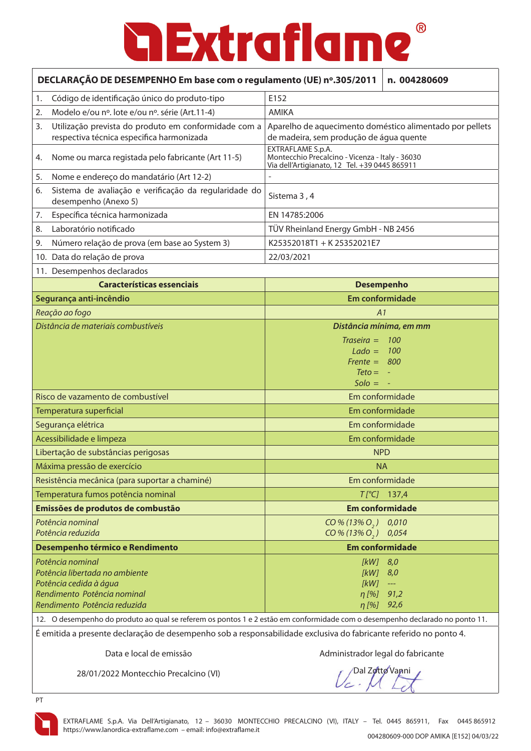| DECLARAÇÃO DE DESEMPENHO Em base com o regulamento (UE) nº.305/2011<br>n. 004280609                                                                                                                                                               |                                                                                                                       |  |  |
|---------------------------------------------------------------------------------------------------------------------------------------------------------------------------------------------------------------------------------------------------|-----------------------------------------------------------------------------------------------------------------------|--|--|
| Código de identificação único do produto-tipo<br>1.                                                                                                                                                                                               | E152                                                                                                                  |  |  |
| Modelo e/ou nº. lote e/ou nº. série (Art.11-4)<br>2.                                                                                                                                                                                              | <b>AMIKA</b>                                                                                                          |  |  |
| Utilização prevista do produto em conformidade com a<br>3.<br>respectiva técnica especifica harmonizada                                                                                                                                           | Aparelho de aquecimento doméstico alimentado por pellets<br>de madeira, sem produção de água quente                   |  |  |
| Nome ou marca registada pelo fabricante (Art 11-5)<br>4.                                                                                                                                                                                          | EXTRAFLAME S.p.A.<br>Montecchio Precalcino - Vicenza - Italy - 36030<br>Via dell'Artigianato, 12 Tel. +39 0445 865911 |  |  |
| Nome e endereço do mandatário (Art 12-2)<br>5.                                                                                                                                                                                                    | $\overline{a}$                                                                                                        |  |  |
| Sistema de avaliação e verificação da regularidade do<br>6.<br>desempenho (Anexo 5)                                                                                                                                                               | Sistema 3, 4                                                                                                          |  |  |
| Específica técnica harmonizada<br>7.                                                                                                                                                                                                              | EN 14785:2006                                                                                                         |  |  |
| Laboratório notificado<br>8.                                                                                                                                                                                                                      | TÜV Rheinland Energy GmbH - NB 2456                                                                                   |  |  |
| Número relação de prova (em base ao System 3)<br>9.                                                                                                                                                                                               | K25352018T1 + K25352021E7                                                                                             |  |  |
| 10. Data do relação de prova                                                                                                                                                                                                                      | 22/03/2021                                                                                                            |  |  |
| 11. Desempenhos declarados                                                                                                                                                                                                                        |                                                                                                                       |  |  |
| <b>Características essenciais</b>                                                                                                                                                                                                                 | <b>Desempenho</b>                                                                                                     |  |  |
| Segurança anti-incêndio                                                                                                                                                                                                                           | Em conformidade                                                                                                       |  |  |
| Reação ao fogo                                                                                                                                                                                                                                    | A1                                                                                                                    |  |  |
| Distância de materiais combustíveis                                                                                                                                                                                                               | Distância mínima, em mm                                                                                               |  |  |
|                                                                                                                                                                                                                                                   | $Traseira =$<br>100<br>$Lado =$<br><b>100</b><br>$Frente =$<br>800<br>$Teto = -$                                      |  |  |
|                                                                                                                                                                                                                                                   | $Solo =$                                                                                                              |  |  |
| Risco de vazamento de combustível                                                                                                                                                                                                                 | Em conformidade                                                                                                       |  |  |
| Temperatura superficial                                                                                                                                                                                                                           | Em conformidade                                                                                                       |  |  |
| Segurança elétrica                                                                                                                                                                                                                                | Em conformidade                                                                                                       |  |  |
| Acessibilidade e limpeza                                                                                                                                                                                                                          | Em conformidade                                                                                                       |  |  |
| Libertação de substâncias perigosas                                                                                                                                                                                                               | <b>NPD</b>                                                                                                            |  |  |
| Máxima pressão de exercício                                                                                                                                                                                                                       | <b>NA</b>                                                                                                             |  |  |
| Resistência mecânica (para suportar a chaminé)                                                                                                                                                                                                    | Em conformidade                                                                                                       |  |  |
| Temperatura fumos potência nominal                                                                                                                                                                                                                | $T[^{\circ}C]$ 137,4                                                                                                  |  |  |
| Emissões de produtos de combustão                                                                                                                                                                                                                 | <b>Em conformidade</b>                                                                                                |  |  |
| Potência nominal<br>Potência reduzida                                                                                                                                                                                                             | 0,010<br>$CO\% (13\% O, )$<br>$CO\% (13\% O, )$<br>0,054                                                              |  |  |
| Desempenho térmico e Rendimento                                                                                                                                                                                                                   | <b>Em conformidade</b>                                                                                                |  |  |
| Potência nominal<br>Potência libertada no ambiente<br>Potência cedida à água<br>Rendimento Potência nominal<br>Rendimento Potência reduzida                                                                                                       | [kW]<br>8,0<br>[kW]<br>8,0<br>[kW]<br>---<br>$\eta$ [%]<br>91,2<br>$\eta$ [%]<br>92,6                                 |  |  |
| 12. O desempenho do produto ao qual se referem os pontos 1 e 2 estão em conformidade com o desempenho declarado no ponto 11.<br>É emitida a presente declaração de desempenho sob a responsabilidade exclusiva do fabricante referido no ponto 4. |                                                                                                                       |  |  |

Data e local de emissão entrarrecese do administrador legal do fabricante

28/01/2022 Montecchio Precalcino (VI)

Dal Zotto Vanni



PT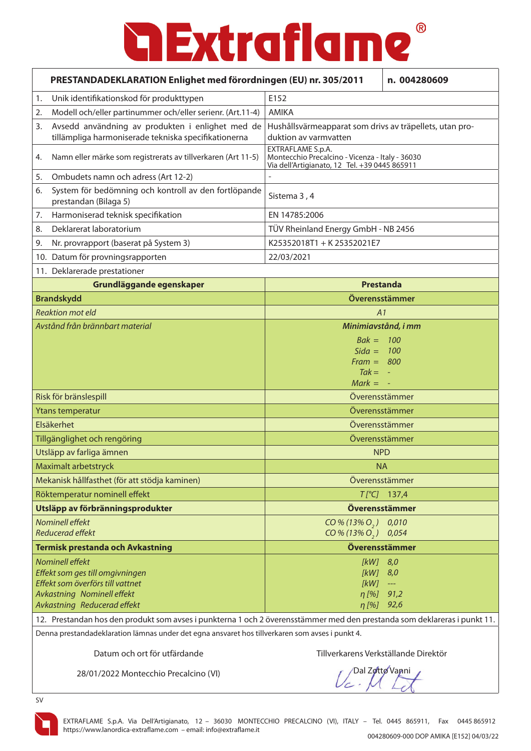|                                                                                                                          | PRESTANDADEKLARATION Enlighet med förordningen (EU) nr. 305/2011                                         |                                                                                                                       | n. 004280609                              |
|--------------------------------------------------------------------------------------------------------------------------|----------------------------------------------------------------------------------------------------------|-----------------------------------------------------------------------------------------------------------------------|-------------------------------------------|
| 1.                                                                                                                       | Unik identifikationskod för produkttypen                                                                 | E152                                                                                                                  |                                           |
| 2.                                                                                                                       | Modell och/eller partinummer och/eller serienr. (Art.11-4)                                               | <b>AMIKA</b>                                                                                                          |                                           |
| 3.                                                                                                                       | Avsedd användning av produkten i enlighet med de<br>tillämpliga harmoniserade tekniska specifikationerna | Hushållsvärmeapparat som drivs av träpellets, utan pro-<br>duktion av varmvatten                                      |                                           |
| 4.                                                                                                                       | Namn eller märke som registrerats av tillverkaren (Art 11-5)                                             | EXTRAFLAME S.p.A.<br>Montecchio Precalcino - Vicenza - Italy - 36030<br>Via dell'Artigianato, 12 Tel. +39 0445 865911 |                                           |
| 5.                                                                                                                       | Ombudets namn och adress (Art 12-2)                                                                      |                                                                                                                       |                                           |
| 6.                                                                                                                       | System för bedömning och kontroll av den fortlöpande<br>prestandan (Bilaga 5)                            | Sistema 3, 4                                                                                                          |                                           |
| 7.                                                                                                                       | Harmoniserad teknisk specifikation                                                                       | EN 14785:2006                                                                                                         |                                           |
| 8.                                                                                                                       | Deklarerat laboratorium                                                                                  | TÜV Rheinland Energy GmbH - NB 2456                                                                                   |                                           |
| 9.                                                                                                                       | Nr. provrapport (baserat på System 3)                                                                    | K25352018T1 + K25352021E7                                                                                             |                                           |
|                                                                                                                          | 10. Datum för provningsrapporten                                                                         | 22/03/2021                                                                                                            |                                           |
|                                                                                                                          | 11. Deklarerade prestationer                                                                             |                                                                                                                       |                                           |
|                                                                                                                          | Grundläggande egenskaper                                                                                 | <b>Prestanda</b>                                                                                                      |                                           |
|                                                                                                                          | <b>Brandskydd</b>                                                                                        | Överensstämmer                                                                                                        |                                           |
|                                                                                                                          | <b>Reaktion mot eld</b>                                                                                  | A1                                                                                                                    |                                           |
|                                                                                                                          | Avstånd från brännbart material                                                                          | Minimiavstånd, i mm                                                                                                   |                                           |
|                                                                                                                          |                                                                                                          | $Bak = 100$                                                                                                           |                                           |
|                                                                                                                          |                                                                                                          | Sida = $100$                                                                                                          |                                           |
|                                                                                                                          |                                                                                                          | $Frame = 800$<br>$Tak = -$                                                                                            |                                           |
|                                                                                                                          |                                                                                                          | $Mark = -$                                                                                                            |                                           |
|                                                                                                                          | Risk för bränslespill                                                                                    | Överensstämmer                                                                                                        |                                           |
|                                                                                                                          | Ytans temperatur                                                                                         | Överensstämmer                                                                                                        |                                           |
|                                                                                                                          | Elsäkerhet                                                                                               | Överensstämmer                                                                                                        |                                           |
|                                                                                                                          | Tillgänglighet och rengöring                                                                             | Överensstämmer                                                                                                        |                                           |
|                                                                                                                          | Utsläpp av farliga ämnen                                                                                 | <b>NPD</b>                                                                                                            |                                           |
|                                                                                                                          | Maximalt arbetstryck                                                                                     | NA.                                                                                                                   |                                           |
|                                                                                                                          | Mekanisk hållfasthet (för att stödja kaminen)                                                            | Överensstämmer                                                                                                        |                                           |
|                                                                                                                          | Röktemperatur nominell effekt                                                                            | $T[^{\circ}C]$                                                                                                        | 137,4                                     |
|                                                                                                                          | Utsläpp av förbränningsprodukter                                                                         | Överensstämmer                                                                                                        |                                           |
|                                                                                                                          | Nominell effekt<br><b>Reducerad effekt</b>                                                               | $CO\% (13\% O, 0 0.010$<br>CO % (13% O <sub>2</sub> ) 0.054                                                           |                                           |
|                                                                                                                          | <b>Termisk prestanda och Avkastning</b>                                                                  | Överensstämmer                                                                                                        |                                           |
|                                                                                                                          | <b>Nominell effekt</b>                                                                                   | [kW]                                                                                                                  | 8,0                                       |
|                                                                                                                          | Effekt som ges till omgivningen                                                                          | [kW]                                                                                                                  | 8,0                                       |
|                                                                                                                          | Effekt som överförs till vattnet<br>Avkastning Nominell effekt                                           | [kW]<br>$\eta$ [%]                                                                                                    | $\hspace{0.05cm} \dashrightarrow$<br>91,2 |
|                                                                                                                          | Avkastning Reducerad effekt                                                                              | $\eta$ [%] 92,6                                                                                                       |                                           |
| 12. Prestandan hos den produkt som avses i punkterna 1 och 2 överensstämmer med den prestanda som deklareras i punkt 11. |                                                                                                          |                                                                                                                       |                                           |
|                                                                                                                          | Denna prestandadeklaration lämnas under det egna ansvaret hos tillverkaren som avses i punkt 4.          |                                                                                                                       |                                           |
|                                                                                                                          |                                                                                                          |                                                                                                                       |                                           |

28/01/2022 Montecchio Precalcino (VI)

Dal Zotto Vanni

SV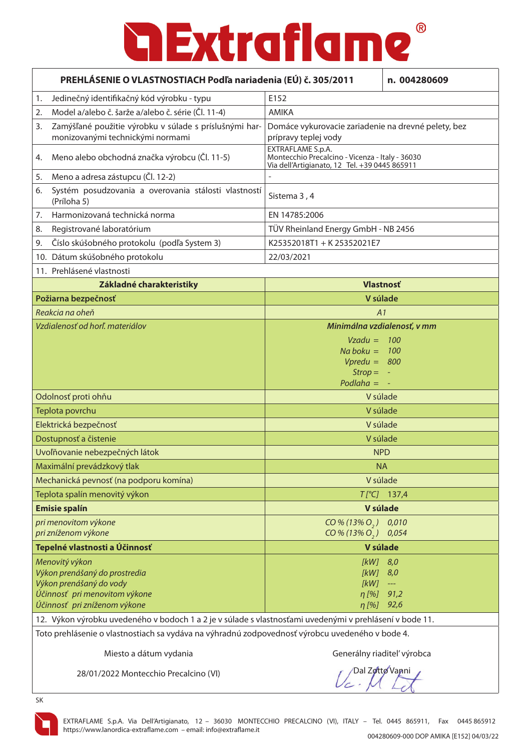| PREHLÁSENIE O VLASTNOSTIACH Podľa nariadenia (EÚ) č. 305/2011                                  |                                                                                                         |                                                                                                                       | n. 004280609                |
|------------------------------------------------------------------------------------------------|---------------------------------------------------------------------------------------------------------|-----------------------------------------------------------------------------------------------------------------------|-----------------------------|
| 1.                                                                                             | Jedinečný identifikačný kód výrobku - typu                                                              | E152                                                                                                                  |                             |
| 2.                                                                                             | Model a/alebo č. šarže a/alebo č. série (Čl. 11-4)                                                      | <b>AMIKA</b>                                                                                                          |                             |
| 3.                                                                                             | Zamýšľané použitie výrobku v súlade s príslušnými har-<br>monizovanými technickými normami              | Domáce vykurovacie zariadenie na drevné pelety, bez<br>prípravy teplej vody                                           |                             |
| 4.                                                                                             | Meno alebo obchodná značka výrobcu (Čl. 11-5)                                                           | EXTRAFLAME S.p.A.<br>Montecchio Precalcino - Vicenza - Italy - 36030<br>Via dell'Artigianato, 12 Tel. +39 0445 865911 |                             |
| 5.                                                                                             | Meno a adresa zástupcu (Čl. 12-2)                                                                       | $\overline{\phantom{a}}$                                                                                              |                             |
| 6.                                                                                             | Systém posudzovania a overovania stálosti vlastností<br>(Príloha 5)                                     | Sistema 3, 4                                                                                                          |                             |
| 7.                                                                                             | Harmonizovaná technická norma                                                                           | EN 14785:2006                                                                                                         |                             |
| 8.                                                                                             | Registrované laboratórium                                                                               | TÜV Rheinland Energy GmbH - NB 2456                                                                                   |                             |
| 9.                                                                                             | Číslo skúšobného protokolu (podľa System 3)                                                             | K25352018T1 + K25352021E7                                                                                             |                             |
|                                                                                                | 10. Dátum skúšobného protokolu                                                                          | 22/03/2021                                                                                                            |                             |
|                                                                                                | 11. Prehlásené vlastnosti                                                                               |                                                                                                                       |                             |
|                                                                                                | Základné charakteristiky                                                                                |                                                                                                                       | <b>Vlastnosť</b>            |
|                                                                                                | Požiarna bezpečnosť                                                                                     |                                                                                                                       | V súlade                    |
|                                                                                                | Reakcia na oheň                                                                                         | A1                                                                                                                    |                             |
|                                                                                                | Vzdialenosť od horľ. materiálov                                                                         |                                                                                                                       | Minimálna vzdialenosť, v mm |
|                                                                                                |                                                                                                         | $Vzadu =$<br>$Na$ boku = 100                                                                                          | - 100                       |
|                                                                                                |                                                                                                         | $Vpredu = 800$                                                                                                        |                             |
|                                                                                                |                                                                                                         | $Strop =$                                                                                                             |                             |
|                                                                                                |                                                                                                         | $Podlaha =$                                                                                                           |                             |
|                                                                                                | Odolnosť proti ohňu                                                                                     | V súlade                                                                                                              |                             |
|                                                                                                | Teplota povrchu                                                                                         | V súlade                                                                                                              |                             |
|                                                                                                | Elektrická bezpečnosť                                                                                   | V súlade                                                                                                              |                             |
|                                                                                                | Dostupnosť a čistenie                                                                                   | V súlade                                                                                                              |                             |
|                                                                                                | Uvoľňovanie nebezpečných látok                                                                          | <b>NPD</b>                                                                                                            |                             |
|                                                                                                | Maximální prevádzkový tlak                                                                              |                                                                                                                       | <b>NA</b>                   |
|                                                                                                | Mechanická pevnosť (na podporu komína)                                                                  |                                                                                                                       | V súlade                    |
|                                                                                                | Teplota spalín menovitý výkon                                                                           |                                                                                                                       | $T[^{\circ}C]$ 137,4        |
|                                                                                                | <b>Emisie spalín</b>                                                                                    |                                                                                                                       | V súlade                    |
|                                                                                                | pri menovitom výkone<br>pri zníženom výkone                                                             | CO% (13% O, )<br>$CO\% (13\% O_{2})$                                                                                  | 0,010<br>0,054              |
| Tepelné vlastnosti a Účinnosť                                                                  |                                                                                                         |                                                                                                                       | V súlade                    |
|                                                                                                | Menovitý výkon                                                                                          | [KW]                                                                                                                  | 8,0                         |
|                                                                                                | Výkon prenášaný do prostredia                                                                           | [kW]                                                                                                                  | 8,0                         |
|                                                                                                | Výkon prenášaný do vody<br>Účinnosť pri menovitom výkone                                                | [kW]<br>$\eta$ [%]                                                                                                    | $\longrightarrow$<br>91,2   |
|                                                                                                | Účinnosť pri zníženom výkone                                                                            |                                                                                                                       | η [%] 92,6                  |
|                                                                                                | 12. Výkon výrobku uvedeného v bodoch 1 a 2 je v súlade s vlastnosťami uvedenými v prehlásení v bode 11. |                                                                                                                       |                             |
| Toto problécania o ulastrosticskego undáva na výhradný zadnovadnosť výrobsu uvadanáho v hoda 1 |                                                                                                         |                                                                                                                       |                             |

Toto prehlásenie o vlastnostiach sa vydáva na výhradnú zodpovednosť výrobcu uvedeného v bode 4.

Miesto a dátum vydania do strongeré a Generálny riaditeľ výrobca

28/01/2022 Montecchio Precalcino (VI)

Dal Zotto Vanni

SK

EXTRAFLAME S.p.A. Via Dell'Artigianato, 12 – 36030 MONTECCHIO PRECALCINO (VI), ITALY – Tel. 0445 865911, Fax 0445 865912 https://www.lanordica-extraflame.com – email: info@extraflame.it